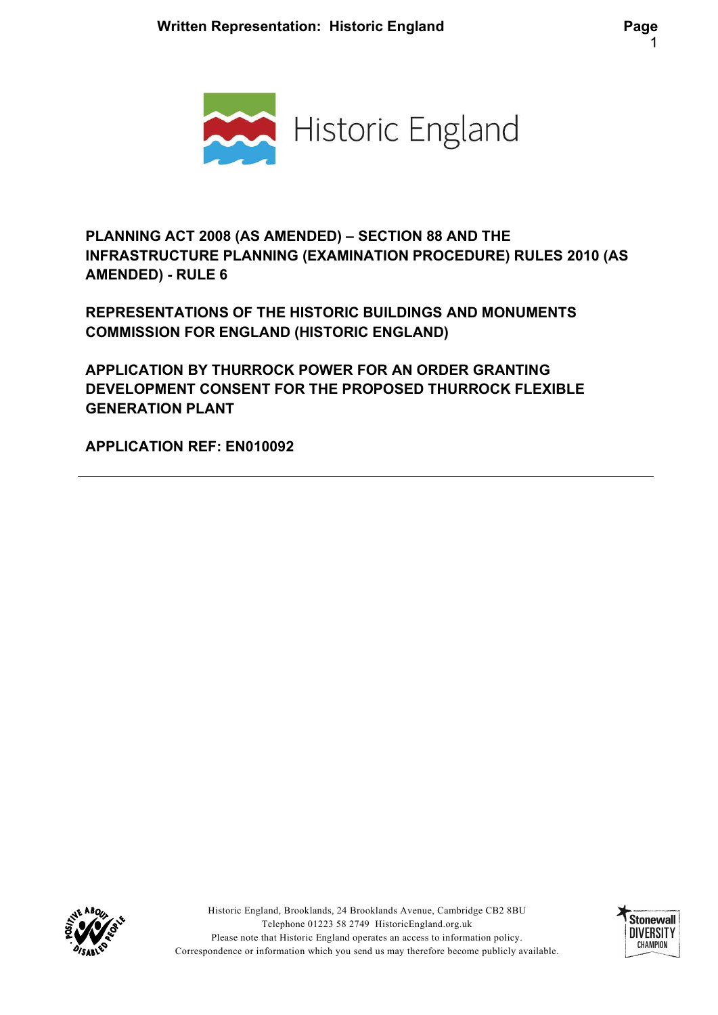

PLANNING ACT 2008 (AS AMENDED) – SECTION 88 AND THE INFRASTRUCTURE PLANNING (EXAMINATION PROCEDURE) RULES 2010 (AS AMENDED) - RULE 6

REPRESENTATIONS OF THE HISTORIC BUILDINGS AND MONUMENTS COMMISSION FOR ENGLAND (HISTORIC ENGLAND)

APPLICATION BY THURROCK POWER FOR AN ORDER GRANTING DEVELOPMENT CONSENT FOR THE PROPOSED THURROCK FLEXIBLE GENERATION PLANT

APPLICATION REF: EN010092



Historic England, Brooklands, 24 Brooklands Avenue, Cambridge CB2 8BU Telephone 01223 58 2749 HistoricEngland.org.uk Please note that Historic England operates an access to information policy. Correspondence or information which you send us may therefore become publicly available.

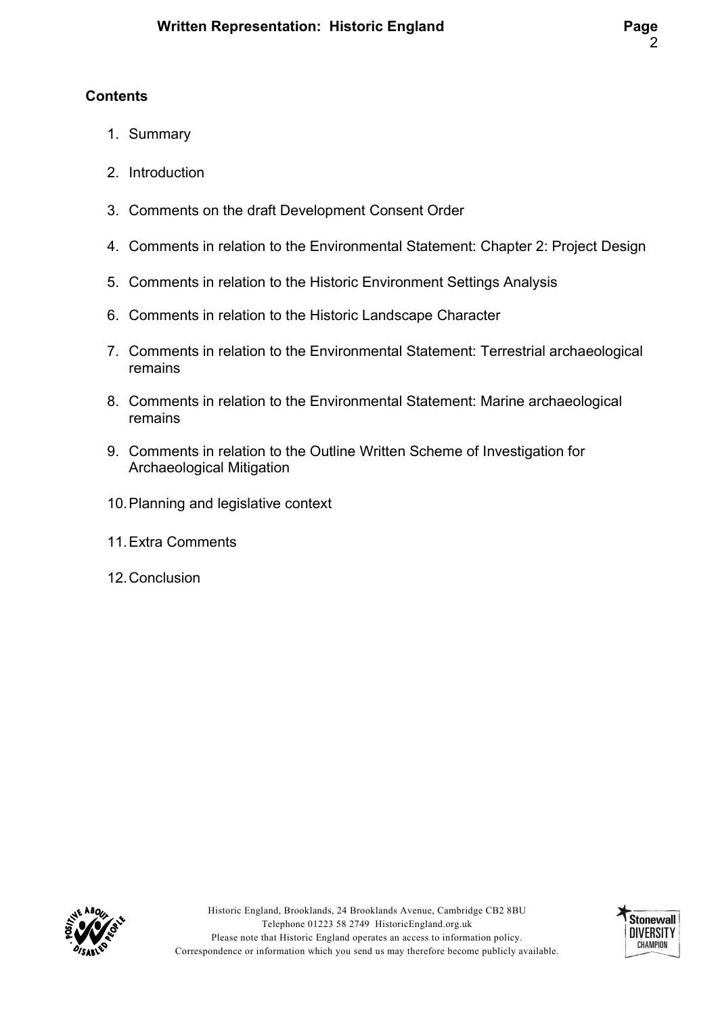# **Contents**

- 1. Summary
- 2. Introduction
- 3. Comments on the draft Development Consent Order
- 4. Comments in relation to the Environmental Statement: Chapter 2: Project Design
- 5. Comments in relation to the Historic Environment Settings Analysis
- 6. Comments in relation to the Historic Landscape Character
- 7. Comments in relation to the Environmental Statement: Terrestrial archaeological remains
- 8. Comments in relation to the Environmental Statement: Marine archaeological remains
- 9. Comments in relation to the Outline Written Scheme of Investigation for Archaeological Mitigation
- 10. Planning and legislative context
- 11. Extra Comments
- 12. Conclusion



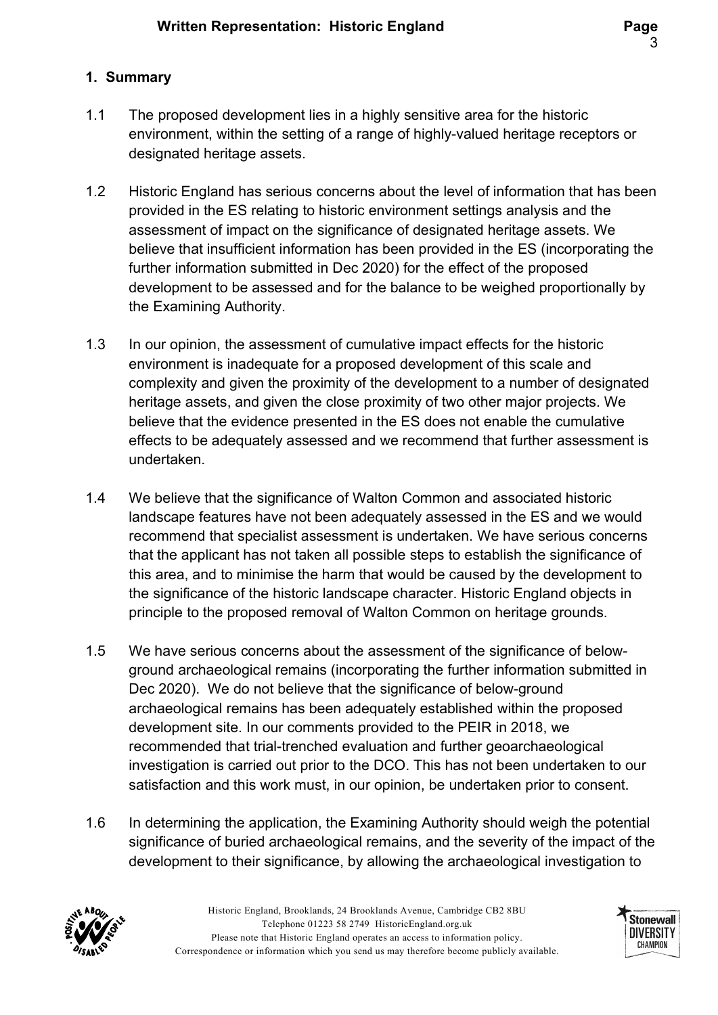### 1. Summary

- 1.1 The proposed development lies in a highly sensitive area for the historic environment, within the setting of a range of highly-valued heritage receptors or designated heritage assets.
- 1.2 Historic England has serious concerns about the level of information that has been provided in the ES relating to historic environment settings analysis and the assessment of impact on the significance of designated heritage assets. We believe that insufficient information has been provided in the ES (incorporating the further information submitted in Dec 2020) for the effect of the proposed development to be assessed and for the balance to be weighed proportionally by the Examining Authority.
- 1.3 In our opinion, the assessment of cumulative impact effects for the historic environment is inadequate for a proposed development of this scale and complexity and given the proximity of the development to a number of designated heritage assets, and given the close proximity of two other major projects. We believe that the evidence presented in the ES does not enable the cumulative effects to be adequately assessed and we recommend that further assessment is undertaken.
- 1.4 We believe that the significance of Walton Common and associated historic landscape features have not been adequately assessed in the ES and we would recommend that specialist assessment is undertaken. We have serious concerns that the applicant has not taken all possible steps to establish the significance of this area, and to minimise the harm that would be caused by the development to the significance of the historic landscape character. Historic England objects in principle to the proposed removal of Walton Common on heritage grounds.
- 1.5 We have serious concerns about the assessment of the significance of belowground archaeological remains (incorporating the further information submitted in Dec 2020). We do not believe that the significance of below-ground archaeological remains has been adequately established within the proposed development site. In our comments provided to the PEIR in 2018, we recommended that trial-trenched evaluation and further geoarchaeological investigation is carried out prior to the DCO. This has not been undertaken to our satisfaction and this work must, in our opinion, be undertaken prior to consent.
- 1.6 In determining the application, the Examining Authority should weigh the potential significance of buried archaeological remains, and the severity of the impact of the development to their significance, by allowing the archaeological investigation to



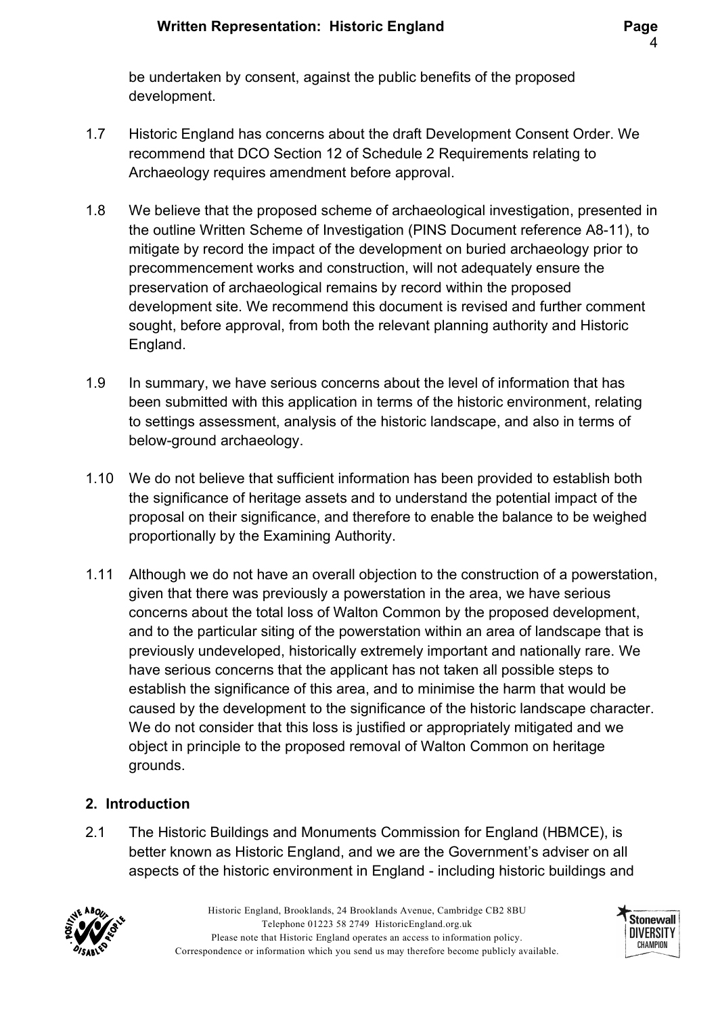be undertaken by consent, against the public benefits of the proposed development.

- 1.7 Historic England has concerns about the draft Development Consent Order. We recommend that DCO Section 12 of Schedule 2 Requirements relating to Archaeology requires amendment before approval.
- 1.8 We believe that the proposed scheme of archaeological investigation, presented in the outline Written Scheme of Investigation (PINS Document reference A8-11), to mitigate by record the impact of the development on buried archaeology prior to precommencement works and construction, will not adequately ensure the preservation of archaeological remains by record within the proposed development site. We recommend this document is revised and further comment sought, before approval, from both the relevant planning authority and Historic England.
- 1.9 In summary, we have serious concerns about the level of information that has been submitted with this application in terms of the historic environment, relating to settings assessment, analysis of the historic landscape, and also in terms of below-ground archaeology.
- 1.10 We do not believe that sufficient information has been provided to establish both the significance of heritage assets and to understand the potential impact of the proposal on their significance, and therefore to enable the balance to be weighed proportionally by the Examining Authority.
- 1.11 Although we do not have an overall objection to the construction of a powerstation, given that there was previously a powerstation in the area, we have serious concerns about the total loss of Walton Common by the proposed development, and to the particular siting of the powerstation within an area of landscape that is previously undeveloped, historically extremely important and nationally rare. We have serious concerns that the applicant has not taken all possible steps to establish the significance of this area, and to minimise the harm that would be caused by the development to the significance of the historic landscape character. We do not consider that this loss is justified or appropriately mitigated and we object in principle to the proposed removal of Walton Common on heritage grounds.

# 2. Introduction

2.1 The Historic Buildings and Monuments Commission for England (HBMCE), is better known as Historic England, and we are the Government's adviser on all aspects of the historic environment in England - including historic buildings and



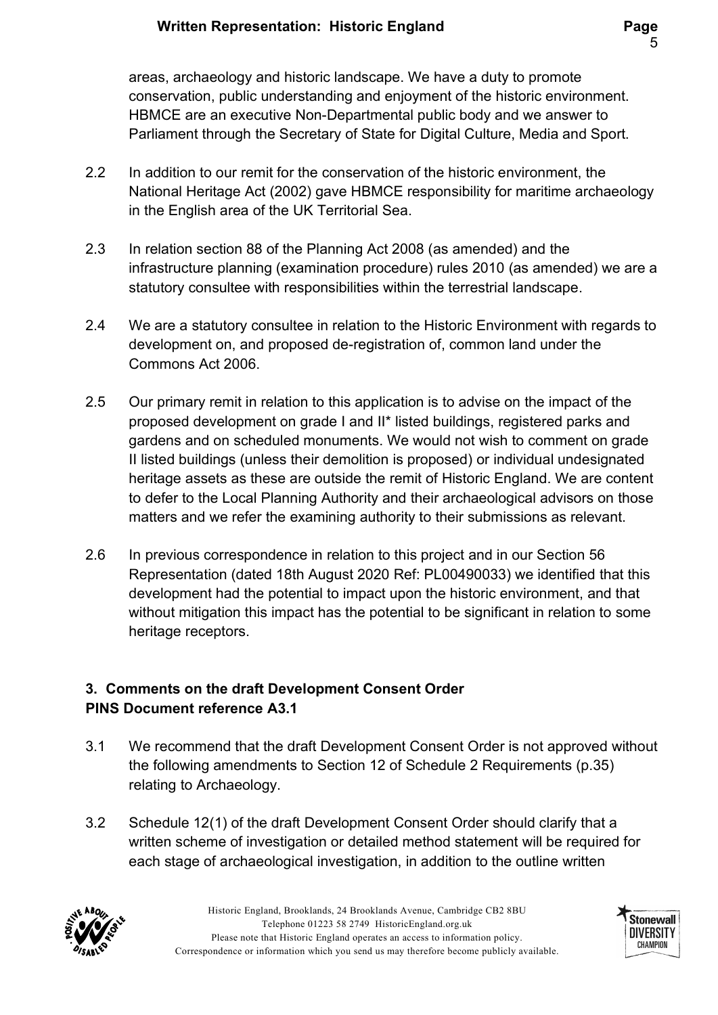areas, archaeology and historic landscape. We have a duty to promote conservation, public understanding and enjoyment of the historic environment. HBMCE are an executive Non-Departmental public body and we answer to Parliament through the Secretary of State for Digital Culture, Media and Sport.

- 2.2 In addition to our remit for the conservation of the historic environment, the National Heritage Act (2002) gave HBMCE responsibility for maritime archaeology in the English area of the UK Territorial Sea.
- 2.3 In relation section 88 of the Planning Act 2008 (as amended) and the infrastructure planning (examination procedure) rules 2010 (as amended) we are a statutory consultee with responsibilities within the terrestrial landscape.
- 2.4 We are a statutory consultee in relation to the Historic Environment with regards to development on, and proposed de-registration of, common land under the Commons Act 2006.
- 2.5 Our primary remit in relation to this application is to advise on the impact of the proposed development on grade I and II\* listed buildings, registered parks and gardens and on scheduled monuments. We would not wish to comment on grade II listed buildings (unless their demolition is proposed) or individual undesignated heritage assets as these are outside the remit of Historic England. We are content to defer to the Local Planning Authority and their archaeological advisors on those matters and we refer the examining authority to their submissions as relevant.
- 2.6 In previous correspondence in relation to this project and in our Section 56 Representation (dated 18th August 2020 Ref: PL00490033) we identified that this development had the potential to impact upon the historic environment, and that without mitigation this impact has the potential to be significant in relation to some heritage receptors.

# 3. Comments on the draft Development Consent Order PINS Document reference A3.1

- 3.1 We recommend that the draft Development Consent Order is not approved without the following amendments to Section 12 of Schedule 2 Requirements (p.35) relating to Archaeology.
- 3.2 Schedule 12(1) of the draft Development Consent Order should clarify that a written scheme of investigation or detailed method statement will be required for each stage of archaeological investigation, in addition to the outline written



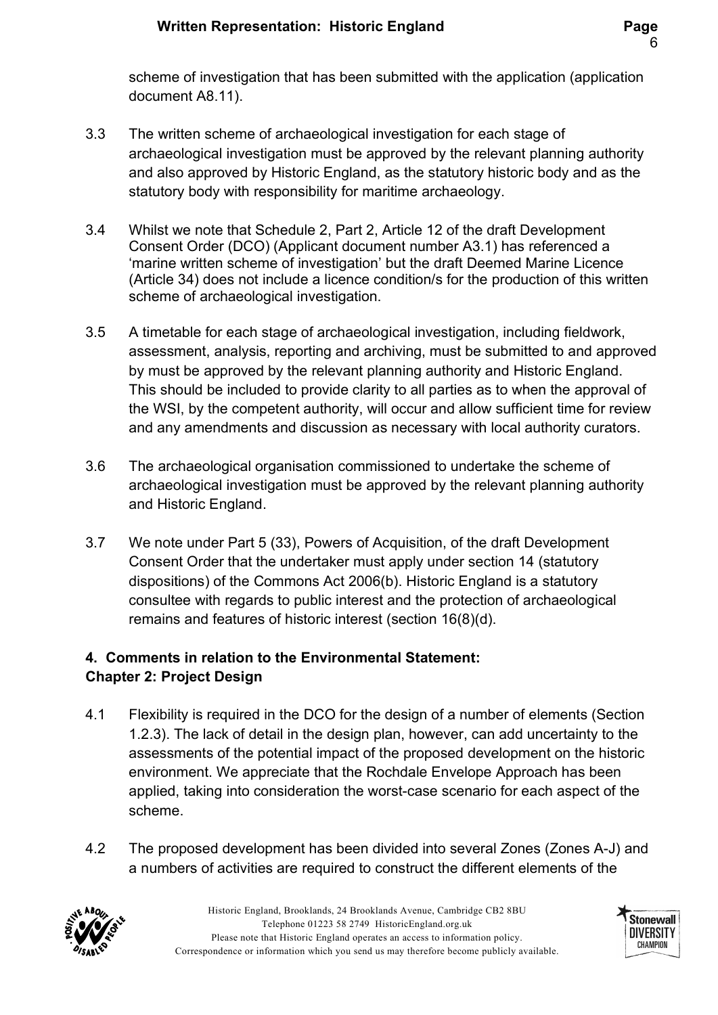scheme of investigation that has been submitted with the application (application document A8.11).

- 3.3 The written scheme of archaeological investigation for each stage of archaeological investigation must be approved by the relevant planning authority and also approved by Historic England, as the statutory historic body and as the statutory body with responsibility for maritime archaeology.
- 3.4 Whilst we note that Schedule 2, Part 2, Article 12 of the draft Development Consent Order (DCO) (Applicant document number A3.1) has referenced a 'marine written scheme of investigation' but the draft Deemed Marine Licence (Article 34) does not include a licence condition/s for the production of this written scheme of archaeological investigation.
- 3.5 A timetable for each stage of archaeological investigation, including fieldwork, assessment, analysis, reporting and archiving, must be submitted to and approved by must be approved by the relevant planning authority and Historic England. This should be included to provide clarity to all parties as to when the approval of the WSI, by the competent authority, will occur and allow sufficient time for review and any amendments and discussion as necessary with local authority curators.
- 3.6 The archaeological organisation commissioned to undertake the scheme of archaeological investigation must be approved by the relevant planning authority and Historic England.
- 3.7 We note under Part 5 (33), Powers of Acquisition, of the draft Development Consent Order that the undertaker must apply under section 14 (statutory dispositions) of the Commons Act 2006(b). Historic England is a statutory consultee with regards to public interest and the protection of archaeological remains and features of historic interest (section 16(8)(d).

# 4. Comments in relation to the Environmental Statement: Chapter 2: Project Design

- 4.1 Flexibility is required in the DCO for the design of a number of elements (Section 1.2.3). The lack of detail in the design plan, however, can add uncertainty to the assessments of the potential impact of the proposed development on the historic environment. We appreciate that the Rochdale Envelope Approach has been applied, taking into consideration the worst-case scenario for each aspect of the scheme.
- 4.2 The proposed development has been divided into several Zones (Zones A-J) and a numbers of activities are required to construct the different elements of the



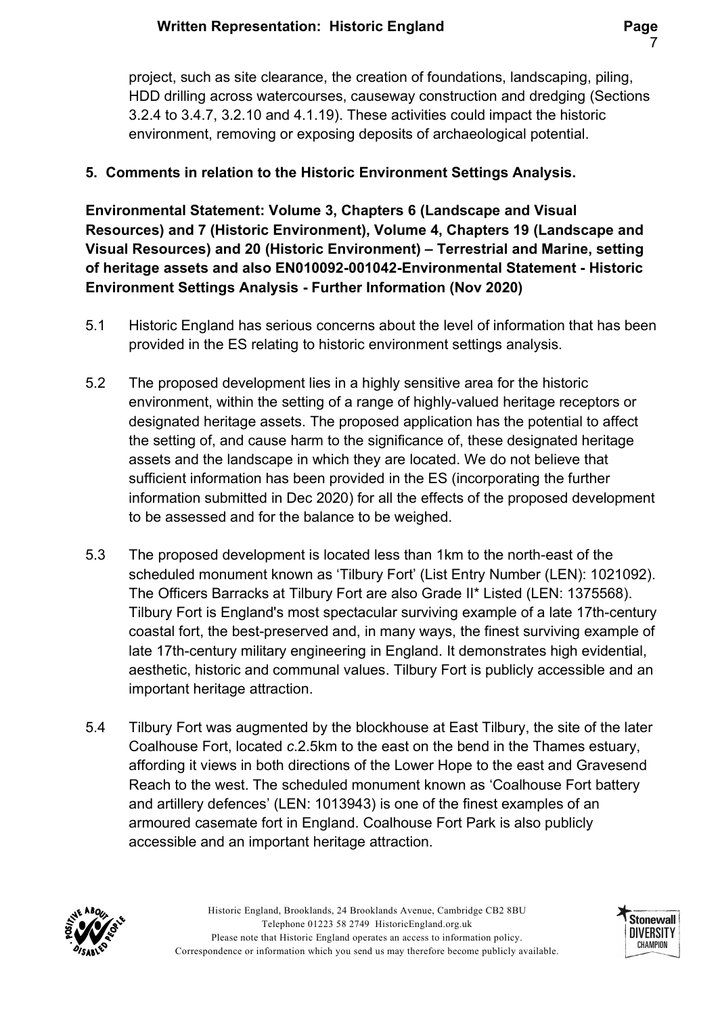project, such as site clearance, the creation of foundations, landscaping, piling, HDD drilling across watercourses, causeway construction and dredging (Sections 3.2.4 to 3.4.7, 3.2.10 and 4.1.19). These activities could impact the historic environment, removing or exposing deposits of archaeological potential.

### 5. Comments in relation to the Historic Environment Settings Analysis.

Environmental Statement: Volume 3, Chapters 6 (Landscape and Visual Resources) and 7 (Historic Environment), Volume 4, Chapters 19 (Landscape and Visual Resources) and 20 (Historic Environment) – Terrestrial and Marine, setting of heritage assets and also EN010092-001042-Environmental Statement - Historic Environment Settings Analysis - Further Information (Nov 2020)

- 5.1 Historic England has serious concerns about the level of information that has been provided in the ES relating to historic environment settings analysis.
- 5.2 The proposed development lies in a highly sensitive area for the historic environment, within the setting of a range of highly-valued heritage receptors or designated heritage assets. The proposed application has the potential to affect the setting of, and cause harm to the significance of, these designated heritage assets and the landscape in which they are located. We do not believe that sufficient information has been provided in the ES (incorporating the further information submitted in Dec 2020) for all the effects of the proposed development to be assessed and for the balance to be weighed.
- 5.3 The proposed development is located less than 1km to the north-east of the scheduled monument known as 'Tilbury Fort' (List Entry Number (LEN): 1021092). The Officers Barracks at Tilbury Fort are also Grade II\* Listed (LEN: 1375568). Tilbury Fort is England's most spectacular surviving example of a late 17th-century coastal fort, the best-preserved and, in many ways, the finest surviving example of late 17th-century military engineering in England. It demonstrates high evidential, aesthetic, historic and communal values. Tilbury Fort is publicly accessible and an important heritage attraction.
- 5.4 Tilbury Fort was augmented by the blockhouse at East Tilbury, the site of the later Coalhouse Fort, located c.2.5km to the east on the bend in the Thames estuary, affording it views in both directions of the Lower Hope to the east and Gravesend Reach to the west. The scheduled monument known as 'Coalhouse Fort battery and artillery defences' (LEN: 1013943) is one of the finest examples of an armoured casemate fort in England. Coalhouse Fort Park is also publicly accessible and an important heritage attraction.



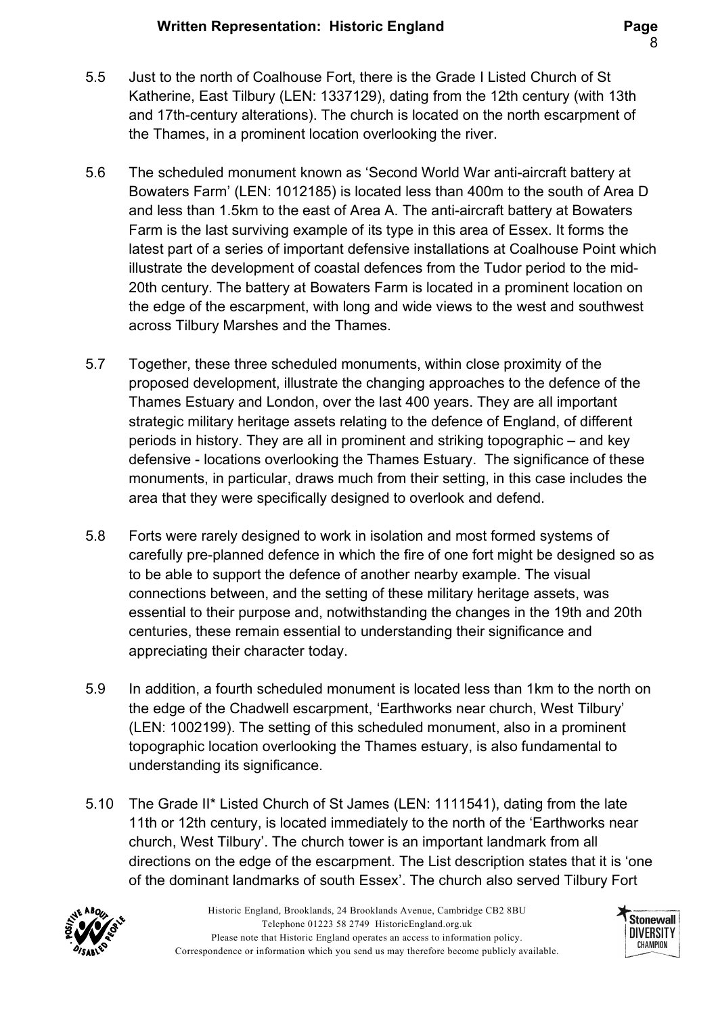- 5.5 Just to the north of Coalhouse Fort, there is the Grade I Listed Church of St Katherine, East Tilbury (LEN: 1337129), dating from the 12th century (with 13th and 17th-century alterations). The church is located on the north escarpment of the Thames, in a prominent location overlooking the river.
- 5.6 The scheduled monument known as 'Second World War anti-aircraft battery at Bowaters Farm' (LEN: 1012185) is located less than 400m to the south of Area D and less than 1.5km to the east of Area A. The anti-aircraft battery at Bowaters Farm is the last surviving example of its type in this area of Essex. It forms the latest part of a series of important defensive installations at Coalhouse Point which illustrate the development of coastal defences from the Tudor period to the mid-20th century. The battery at Bowaters Farm is located in a prominent location on the edge of the escarpment, with long and wide views to the west and southwest across Tilbury Marshes and the Thames.
- 5.7 Together, these three scheduled monuments, within close proximity of the proposed development, illustrate the changing approaches to the defence of the Thames Estuary and London, over the last 400 years. They are all important strategic military heritage assets relating to the defence of England, of different periods in history. They are all in prominent and striking topographic – and key defensive - locations overlooking the Thames Estuary. The significance of these monuments, in particular, draws much from their setting, in this case includes the area that they were specifically designed to overlook and defend.
- 5.8 Forts were rarely designed to work in isolation and most formed systems of carefully pre-planned defence in which the fire of one fort might be designed so as to be able to support the defence of another nearby example. The visual connections between, and the setting of these military heritage assets, was essential to their purpose and, notwithstanding the changes in the 19th and 20th centuries, these remain essential to understanding their significance and appreciating their character today.
- 5.9 In addition, a fourth scheduled monument is located less than 1km to the north on the edge of the Chadwell escarpment, 'Earthworks near church, West Tilbury' (LEN: 1002199). The setting of this scheduled monument, also in a prominent topographic location overlooking the Thames estuary, is also fundamental to understanding its significance.
- 5.10 The Grade II\* Listed Church of St James (LEN: 1111541), dating from the late 11th or 12th century, is located immediately to the north of the 'Earthworks near church, West Tilbury'. The church tower is an important landmark from all directions on the edge of the escarpment. The List description states that it is 'one of the dominant landmarks of south Essex'. The church also served Tilbury Fort



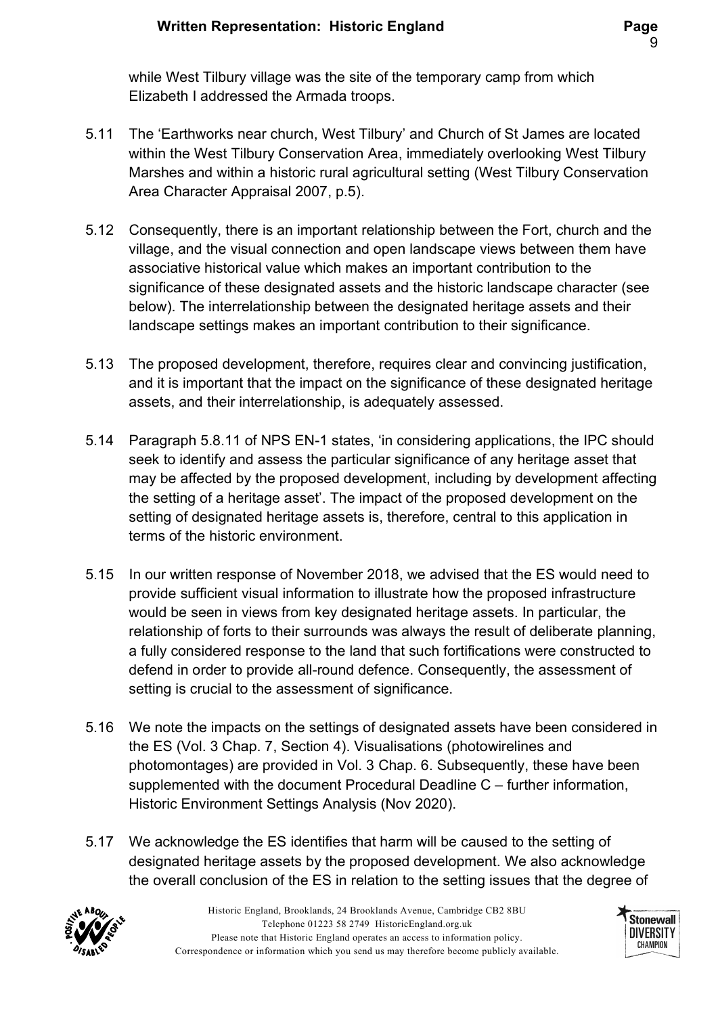while West Tilbury village was the site of the temporary camp from which Elizabeth I addressed the Armada troops.

- 5.11 The 'Earthworks near church, West Tilbury' and Church of St James are located within the West Tilbury Conservation Area, immediately overlooking West Tilbury Marshes and within a historic rural agricultural setting (West Tilbury Conservation Area Character Appraisal 2007, p.5).
- 5.12 Consequently, there is an important relationship between the Fort, church and the village, and the visual connection and open landscape views between them have associative historical value which makes an important contribution to the significance of these designated assets and the historic landscape character (see below). The interrelationship between the designated heritage assets and their landscape settings makes an important contribution to their significance.
- 5.13 The proposed development, therefore, requires clear and convincing justification, and it is important that the impact on the significance of these designated heritage assets, and their interrelationship, is adequately assessed.
- 5.14 Paragraph 5.8.11 of NPS EN-1 states, 'in considering applications, the IPC should seek to identify and assess the particular significance of any heritage asset that may be affected by the proposed development, including by development affecting the setting of a heritage asset'. The impact of the proposed development on the setting of designated heritage assets is, therefore, central to this application in terms of the historic environment.
- 5.15 In our written response of November 2018, we advised that the ES would need to provide sufficient visual information to illustrate how the proposed infrastructure would be seen in views from key designated heritage assets. In particular, the relationship of forts to their surrounds was always the result of deliberate planning, a fully considered response to the land that such fortifications were constructed to defend in order to provide all-round defence. Consequently, the assessment of setting is crucial to the assessment of significance.
- 5.16 We note the impacts on the settings of designated assets have been considered in the ES (Vol. 3 Chap. 7, Section 4). Visualisations (photowirelines and photomontages) are provided in Vol. 3 Chap. 6. Subsequently, these have been supplemented with the document Procedural Deadline C – further information, Historic Environment Settings Analysis (Nov 2020).
- 5.17 We acknowledge the ES identifies that harm will be caused to the setting of designated heritage assets by the proposed development. We also acknowledge the overall conclusion of the ES in relation to the setting issues that the degree of



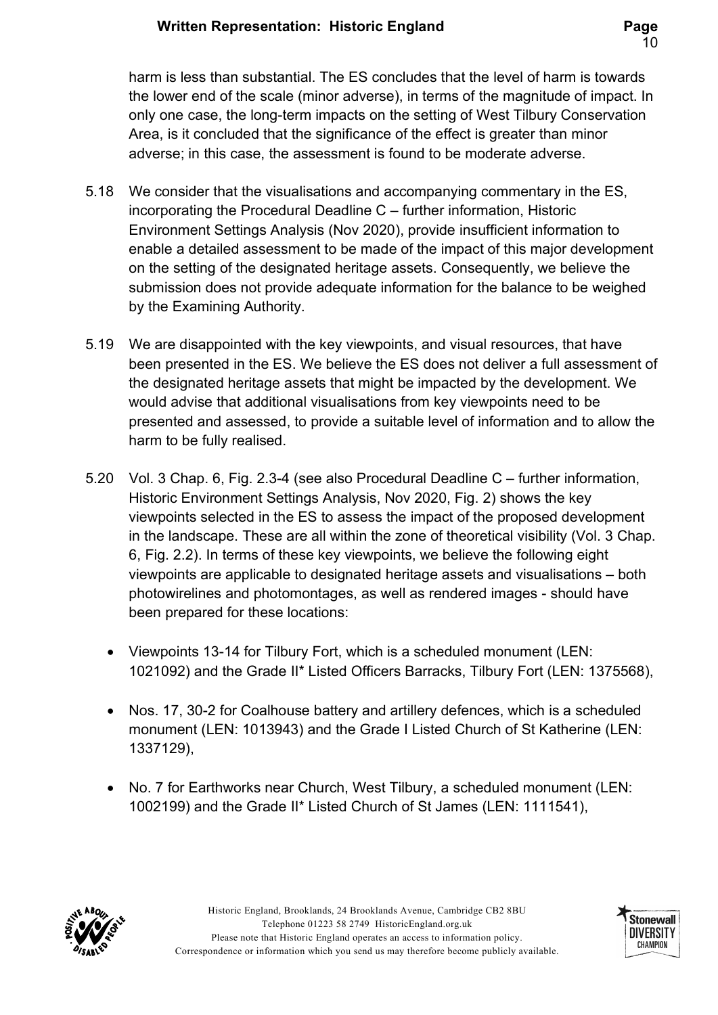harm is less than substantial. The ES concludes that the level of harm is towards the lower end of the scale (minor adverse), in terms of the magnitude of impact. In only one case, the long-term impacts on the setting of West Tilbury Conservation Area, is it concluded that the significance of the effect is greater than minor adverse; in this case, the assessment is found to be moderate adverse.

- 5.18 We consider that the visualisations and accompanying commentary in the ES, incorporating the Procedural Deadline C – further information, Historic Environment Settings Analysis (Nov 2020), provide insufficient information to enable a detailed assessment to be made of the impact of this major development on the setting of the designated heritage assets. Consequently, we believe the submission does not provide adequate information for the balance to be weighed by the Examining Authority.
- 5.19 We are disappointed with the key viewpoints, and visual resources, that have been presented in the ES. We believe the ES does not deliver a full assessment of the designated heritage assets that might be impacted by the development. We would advise that additional visualisations from key viewpoints need to be presented and assessed, to provide a suitable level of information and to allow the harm to be fully realised.
- 5.20 Vol. 3 Chap. 6, Fig. 2.3-4 (see also Procedural Deadline C further information, Historic Environment Settings Analysis, Nov 2020, Fig. 2) shows the key viewpoints selected in the ES to assess the impact of the proposed development in the landscape. These are all within the zone of theoretical visibility (Vol. 3 Chap. 6, Fig. 2.2). In terms of these key viewpoints, we believe the following eight viewpoints are applicable to designated heritage assets and visualisations – both photowirelines and photomontages, as well as rendered images - should have been prepared for these locations:
	- Viewpoints 13-14 for Tilbury Fort, which is a scheduled monument (LEN: 1021092) and the Grade II\* Listed Officers Barracks, Tilbury Fort (LEN: 1375568),
	- Nos. 17, 30-2 for Coalhouse battery and artillery defences, which is a scheduled monument (LEN: 1013943) and the Grade I Listed Church of St Katherine (LEN: 1337129),
	- No. 7 for Earthworks near Church, West Tilbury, a scheduled monument (LEN: 1002199) and the Grade II\* Listed Church of St James (LEN: 1111541),



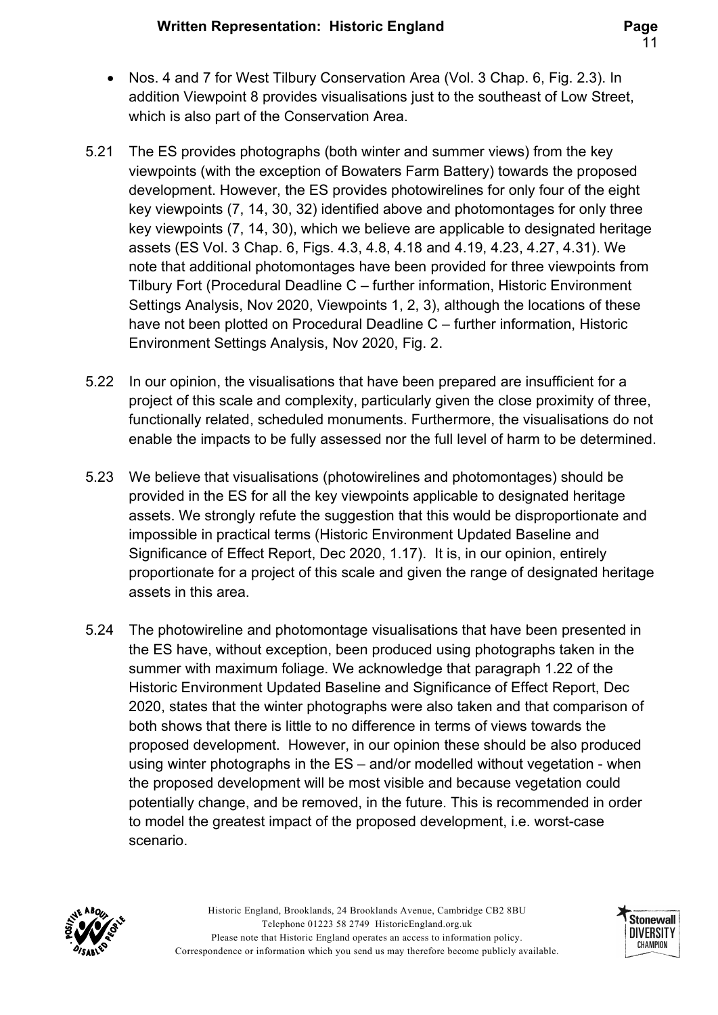- Nos. 4 and 7 for West Tilbury Conservation Area (Vol. 3 Chap. 6, Fig. 2.3). In addition Viewpoint 8 provides visualisations just to the southeast of Low Street, which is also part of the Conservation Area.
- 5.21 The ES provides photographs (both winter and summer views) from the key viewpoints (with the exception of Bowaters Farm Battery) towards the proposed development. However, the ES provides photowirelines for only four of the eight key viewpoints (7, 14, 30, 32) identified above and photomontages for only three key viewpoints (7, 14, 30), which we believe are applicable to designated heritage assets (ES Vol. 3 Chap. 6, Figs. 4.3, 4.8, 4.18 and 4.19, 4.23, 4.27, 4.31). We note that additional photomontages have been provided for three viewpoints from Tilbury Fort (Procedural Deadline C – further information, Historic Environment Settings Analysis, Nov 2020, Viewpoints 1, 2, 3), although the locations of these have not been plotted on Procedural Deadline C – further information, Historic Environment Settings Analysis, Nov 2020, Fig. 2.
- 5.22 In our opinion, the visualisations that have been prepared are insufficient for a project of this scale and complexity, particularly given the close proximity of three, functionally related, scheduled monuments. Furthermore, the visualisations do not enable the impacts to be fully assessed nor the full level of harm to be determined.
- 5.23 We believe that visualisations (photowirelines and photomontages) should be provided in the ES for all the key viewpoints applicable to designated heritage assets. We strongly refute the suggestion that this would be disproportionate and impossible in practical terms (Historic Environment Updated Baseline and Significance of Effect Report, Dec 2020, 1.17). It is, in our opinion, entirely proportionate for a project of this scale and given the range of designated heritage assets in this area.
- 5.24 The photowireline and photomontage visualisations that have been presented in the ES have, without exception, been produced using photographs taken in the summer with maximum foliage. We acknowledge that paragraph 1.22 of the Historic Environment Updated Baseline and Significance of Effect Report, Dec 2020, states that the winter photographs were also taken and that comparison of both shows that there is little to no difference in terms of views towards the proposed development. However, in our opinion these should be also produced using winter photographs in the ES – and/or modelled without vegetation - when the proposed development will be most visible and because vegetation could potentially change, and be removed, in the future. This is recommended in order to model the greatest impact of the proposed development, i.e. worst-case scenario.



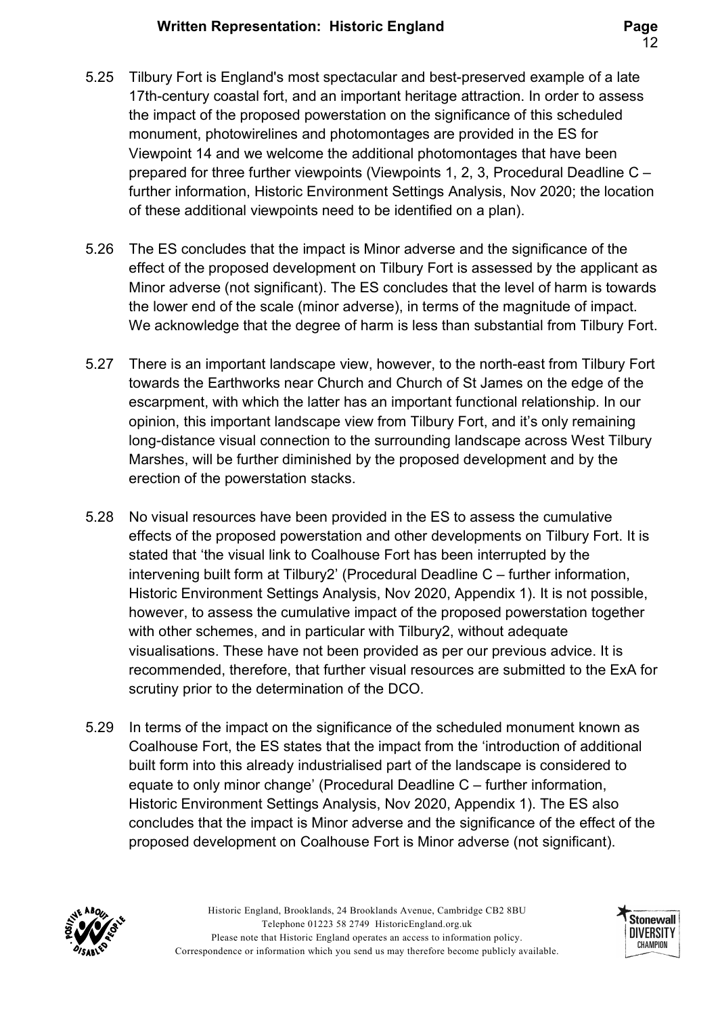- 5.25 Tilbury Fort is England's most spectacular and best-preserved example of a late 17th-century coastal fort, and an important heritage attraction. In order to assess the impact of the proposed powerstation on the significance of this scheduled monument, photowirelines and photomontages are provided in the ES for Viewpoint 14 and we welcome the additional photomontages that have been prepared for three further viewpoints (Viewpoints 1, 2, 3, Procedural Deadline C – further information, Historic Environment Settings Analysis, Nov 2020; the location of these additional viewpoints need to be identified on a plan).
- 5.26 The ES concludes that the impact is Minor adverse and the significance of the effect of the proposed development on Tilbury Fort is assessed by the applicant as Minor adverse (not significant). The ES concludes that the level of harm is towards the lower end of the scale (minor adverse), in terms of the magnitude of impact. We acknowledge that the degree of harm is less than substantial from Tilbury Fort.
- 5.27 There is an important landscape view, however, to the north-east from Tilbury Fort towards the Earthworks near Church and Church of St James on the edge of the escarpment, with which the latter has an important functional relationship. In our opinion, this important landscape view from Tilbury Fort, and it's only remaining long-distance visual connection to the surrounding landscape across West Tilbury Marshes, will be further diminished by the proposed development and by the erection of the powerstation stacks.
- 5.28 No visual resources have been provided in the ES to assess the cumulative effects of the proposed powerstation and other developments on Tilbury Fort. It is stated that 'the visual link to Coalhouse Fort has been interrupted by the intervening built form at Tilbury2' (Procedural Deadline C – further information, Historic Environment Settings Analysis, Nov 2020, Appendix 1). It is not possible, however, to assess the cumulative impact of the proposed powerstation together with other schemes, and in particular with Tilbury2, without adequate visualisations. These have not been provided as per our previous advice. It is recommended, therefore, that further visual resources are submitted to the ExA for scrutiny prior to the determination of the DCO.
- 5.29 In terms of the impact on the significance of the scheduled monument known as Coalhouse Fort, the ES states that the impact from the 'introduction of additional built form into this already industrialised part of the landscape is considered to equate to only minor change' (Procedural Deadline C – further information, Historic Environment Settings Analysis, Nov 2020, Appendix 1). The ES also concludes that the impact is Minor adverse and the significance of the effect of the proposed development on Coalhouse Fort is Minor adverse (not significant).



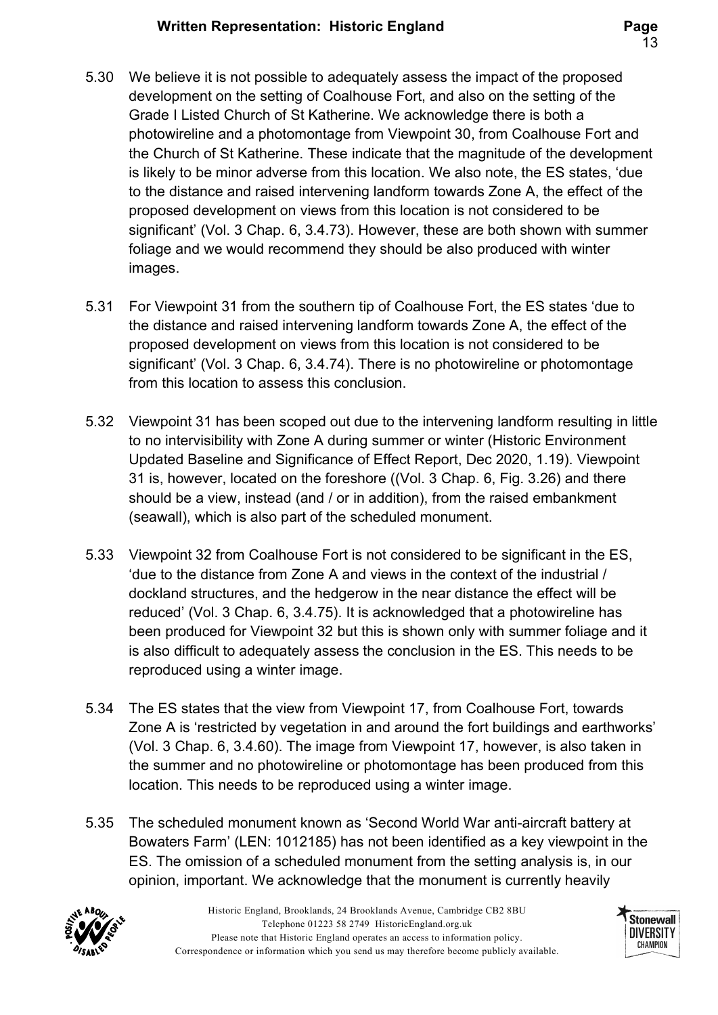- 5.30 We believe it is not possible to adequately assess the impact of the proposed development on the setting of Coalhouse Fort, and also on the setting of the Grade I Listed Church of St Katherine. We acknowledge there is both a photowireline and a photomontage from Viewpoint 30, from Coalhouse Fort and the Church of St Katherine. These indicate that the magnitude of the development is likely to be minor adverse from this location. We also note, the ES states, 'due to the distance and raised intervening landform towards Zone A, the effect of the proposed development on views from this location is not considered to be significant' (Vol. 3 Chap. 6, 3.4.73). However, these are both shown with summer foliage and we would recommend they should be also produced with winter images.
- 5.31 For Viewpoint 31 from the southern tip of Coalhouse Fort, the ES states 'due to the distance and raised intervening landform towards Zone A, the effect of the proposed development on views from this location is not considered to be significant' (Vol. 3 Chap. 6, 3.4.74). There is no photowireline or photomontage from this location to assess this conclusion.
- 5.32 Viewpoint 31 has been scoped out due to the intervening landform resulting in little to no intervisibility with Zone A during summer or winter (Historic Environment Updated Baseline and Significance of Effect Report, Dec 2020, 1.19). Viewpoint 31 is, however, located on the foreshore ((Vol. 3 Chap. 6, Fig. 3.26) and there should be a view, instead (and / or in addition), from the raised embankment (seawall), which is also part of the scheduled monument.
- 5.33 Viewpoint 32 from Coalhouse Fort is not considered to be significant in the ES, 'due to the distance from Zone A and views in the context of the industrial / dockland structures, and the hedgerow in the near distance the effect will be reduced' (Vol. 3 Chap. 6, 3.4.75). It is acknowledged that a photowireline has been produced for Viewpoint 32 but this is shown only with summer foliage and it is also difficult to adequately assess the conclusion in the ES. This needs to be reproduced using a winter image.
- 5.34 The ES states that the view from Viewpoint 17, from Coalhouse Fort, towards Zone A is 'restricted by vegetation in and around the fort buildings and earthworks' (Vol. 3 Chap. 6, 3.4.60). The image from Viewpoint 17, however, is also taken in the summer and no photowireline or photomontage has been produced from this location. This needs to be reproduced using a winter image.
- 5.35 The scheduled monument known as 'Second World War anti-aircraft battery at Bowaters Farm' (LEN: 1012185) has not been identified as a key viewpoint in the ES. The omission of a scheduled monument from the setting analysis is, in our opinion, important. We acknowledge that the monument is currently heavily



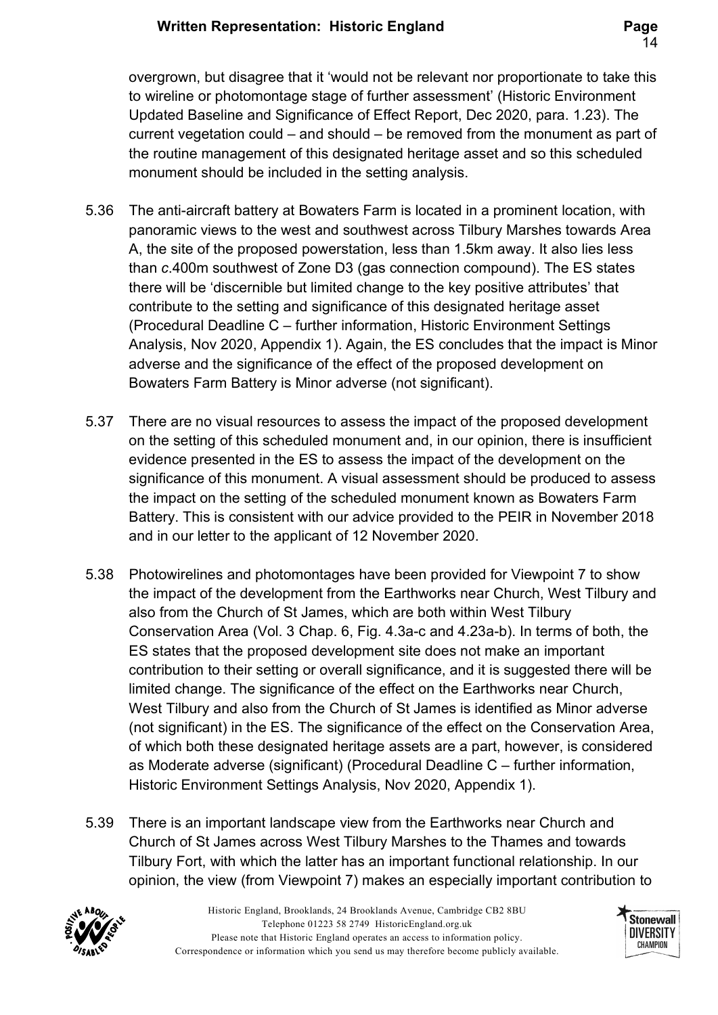overgrown, but disagree that it 'would not be relevant nor proportionate to take this to wireline or photomontage stage of further assessment' (Historic Environment Updated Baseline and Significance of Effect Report, Dec 2020, para. 1.23). The current vegetation could – and should – be removed from the monument as part of the routine management of this designated heritage asset and so this scheduled monument should be included in the setting analysis.

- 5.36 The anti-aircraft battery at Bowaters Farm is located in a prominent location, with panoramic views to the west and southwest across Tilbury Marshes towards Area A, the site of the proposed powerstation, less than 1.5km away. It also lies less than c.400m southwest of Zone D3 (gas connection compound). The ES states there will be 'discernible but limited change to the key positive attributes' that contribute to the setting and significance of this designated heritage asset (Procedural Deadline C – further information, Historic Environment Settings Analysis, Nov 2020, Appendix 1). Again, the ES concludes that the impact is Minor adverse and the significance of the effect of the proposed development on Bowaters Farm Battery is Minor adverse (not significant).
- 5.37 There are no visual resources to assess the impact of the proposed development on the setting of this scheduled monument and, in our opinion, there is insufficient evidence presented in the ES to assess the impact of the development on the significance of this monument. A visual assessment should be produced to assess the impact on the setting of the scheduled monument known as Bowaters Farm Battery. This is consistent with our advice provided to the PEIR in November 2018 and in our letter to the applicant of 12 November 2020.
- 5.38 Photowirelines and photomontages have been provided for Viewpoint 7 to show the impact of the development from the Earthworks near Church, West Tilbury and also from the Church of St James, which are both within West Tilbury Conservation Area (Vol. 3 Chap. 6, Fig. 4.3a-c and 4.23a-b). In terms of both, the ES states that the proposed development site does not make an important contribution to their setting or overall significance, and it is suggested there will be limited change. The significance of the effect on the Earthworks near Church, West Tilbury and also from the Church of St James is identified as Minor adverse (not significant) in the ES. The significance of the effect on the Conservation Area, of which both these designated heritage assets are a part, however, is considered as Moderate adverse (significant) (Procedural Deadline C – further information, Historic Environment Settings Analysis, Nov 2020, Appendix 1).
- 5.39 There is an important landscape view from the Earthworks near Church and Church of St James across West Tilbury Marshes to the Thames and towards Tilbury Fort, with which the latter has an important functional relationship. In our opinion, the view (from Viewpoint 7) makes an especially important contribution to



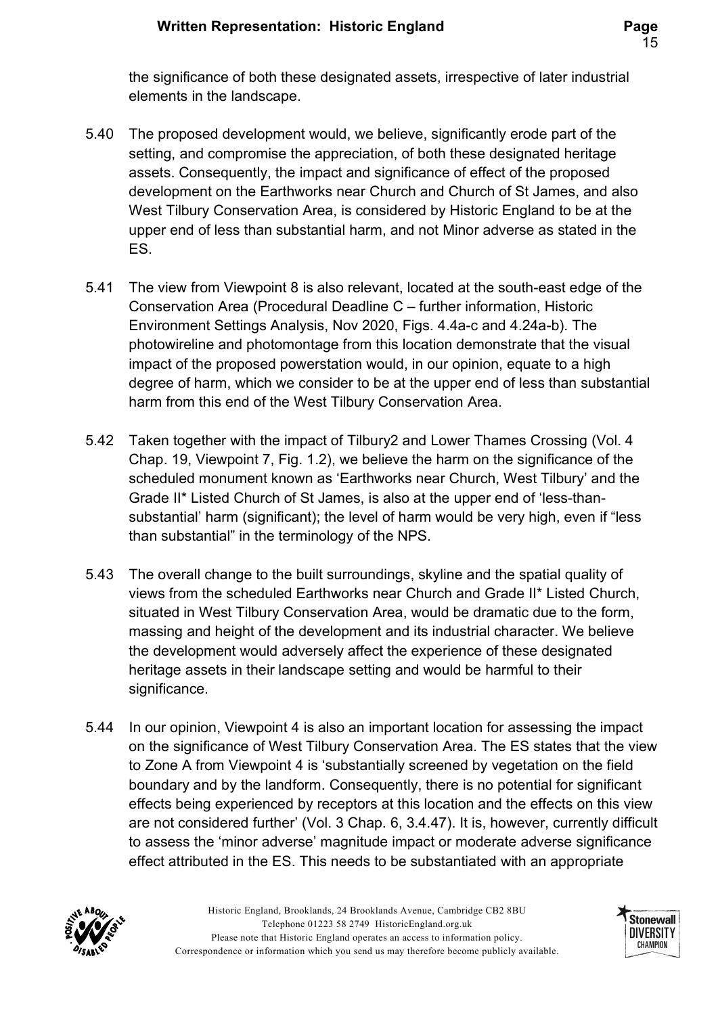the significance of both these designated assets, irrespective of later industrial elements in the landscape.

- 5.40 The proposed development would, we believe, significantly erode part of the setting, and compromise the appreciation, of both these designated heritage assets. Consequently, the impact and significance of effect of the proposed development on the Earthworks near Church and Church of St James, and also West Tilbury Conservation Area, is considered by Historic England to be at the upper end of less than substantial harm, and not Minor adverse as stated in the ES.
- 5.41 The view from Viewpoint 8 is also relevant, located at the south-east edge of the Conservation Area (Procedural Deadline C – further information, Historic Environment Settings Analysis, Nov 2020, Figs. 4.4a-c and 4.24a-b). The photowireline and photomontage from this location demonstrate that the visual impact of the proposed powerstation would, in our opinion, equate to a high degree of harm, which we consider to be at the upper end of less than substantial harm from this end of the West Tilbury Conservation Area.
- 5.42 Taken together with the impact of Tilbury2 and Lower Thames Crossing (Vol. 4 Chap. 19, Viewpoint 7, Fig. 1.2), we believe the harm on the significance of the scheduled monument known as 'Earthworks near Church, West Tilbury' and the Grade II\* Listed Church of St James, is also at the upper end of 'less-thansubstantial' harm (significant); the level of harm would be very high, even if "less than substantial" in the terminology of the NPS.
- 5.43 The overall change to the built surroundings, skyline and the spatial quality of views from the scheduled Earthworks near Church and Grade II\* Listed Church, situated in West Tilbury Conservation Area, would be dramatic due to the form, massing and height of the development and its industrial character. We believe the development would adversely affect the experience of these designated heritage assets in their landscape setting and would be harmful to their significance.
- 5.44 In our opinion, Viewpoint 4 is also an important location for assessing the impact on the significance of West Tilbury Conservation Area. The ES states that the view to Zone A from Viewpoint 4 is 'substantially screened by vegetation on the field boundary and by the landform. Consequently, there is no potential for significant effects being experienced by receptors at this location and the effects on this view are not considered further' (Vol. 3 Chap. 6, 3.4.47). It is, however, currently difficult to assess the 'minor adverse' magnitude impact or moderate adverse significance effect attributed in the ES. This needs to be substantiated with an appropriate



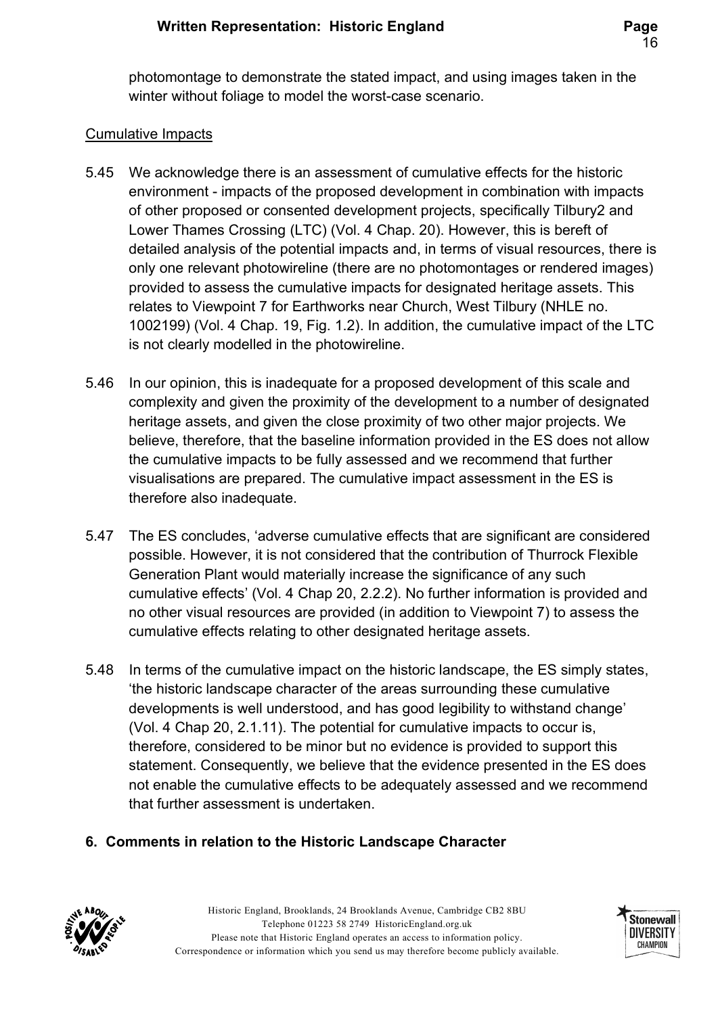photomontage to demonstrate the stated impact, and using images taken in the winter without foliage to model the worst-case scenario.

#### Cumulative Impacts

- 5.45 We acknowledge there is an assessment of cumulative effects for the historic environment - impacts of the proposed development in combination with impacts of other proposed or consented development projects, specifically Tilbury2 and Lower Thames Crossing (LTC) (Vol. 4 Chap. 20). However, this is bereft of detailed analysis of the potential impacts and, in terms of visual resources, there is only one relevant photowireline (there are no photomontages or rendered images) provided to assess the cumulative impacts for designated heritage assets. This relates to Viewpoint 7 for Earthworks near Church, West Tilbury (NHLE no. 1002199) (Vol. 4 Chap. 19, Fig. 1.2). In addition, the cumulative impact of the LTC is not clearly modelled in the photowireline.
- 5.46 In our opinion, this is inadequate for a proposed development of this scale and complexity and given the proximity of the development to a number of designated heritage assets, and given the close proximity of two other major projects. We believe, therefore, that the baseline information provided in the ES does not allow the cumulative impacts to be fully assessed and we recommend that further visualisations are prepared. The cumulative impact assessment in the ES is therefore also inadequate.
- 5.47 The ES concludes, 'adverse cumulative effects that are significant are considered possible. However, it is not considered that the contribution of Thurrock Flexible Generation Plant would materially increase the significance of any such cumulative effects' (Vol. 4 Chap 20, 2.2.2). No further information is provided and no other visual resources are provided (in addition to Viewpoint 7) to assess the cumulative effects relating to other designated heritage assets.
- 5.48 In terms of the cumulative impact on the historic landscape, the ES simply states, 'the historic landscape character of the areas surrounding these cumulative developments is well understood, and has good legibility to withstand change' (Vol. 4 Chap 20, 2.1.11). The potential for cumulative impacts to occur is, therefore, considered to be minor but no evidence is provided to support this statement. Consequently, we believe that the evidence presented in the ES does not enable the cumulative effects to be adequately assessed and we recommend that further assessment is undertaken.

### 6. Comments in relation to the Historic Landscape Character



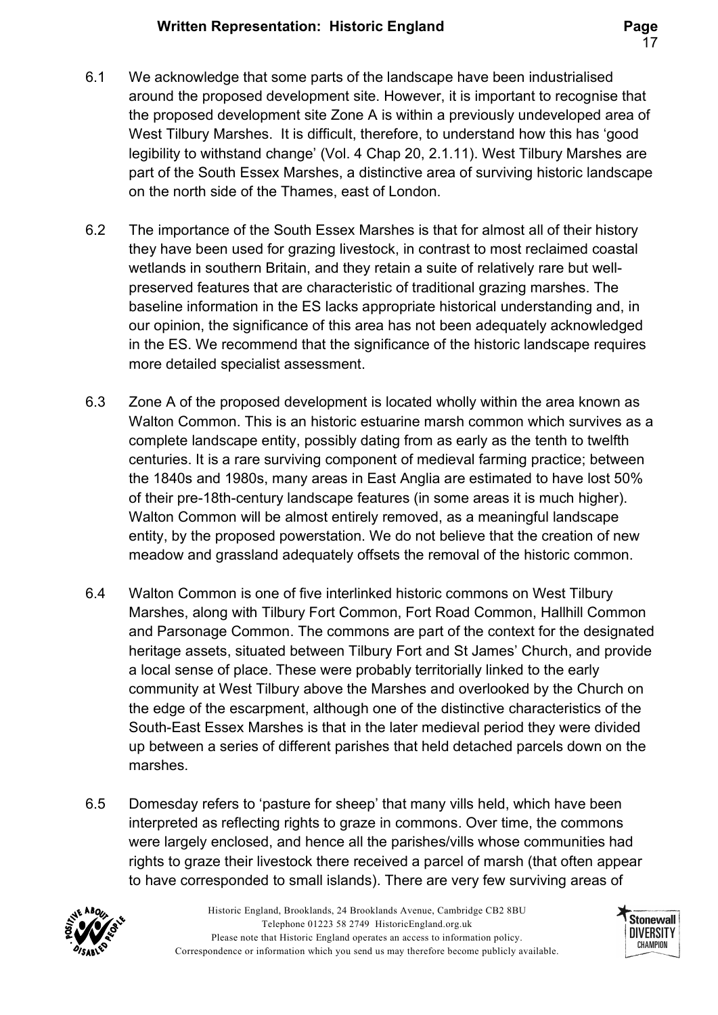- 6.1 We acknowledge that some parts of the landscape have been industrialised around the proposed development site. However, it is important to recognise that the proposed development site Zone A is within a previously undeveloped area of West Tilbury Marshes. It is difficult, therefore, to understand how this has 'good legibility to withstand change' (Vol. 4 Chap 20, 2.1.11). West Tilbury Marshes are part of the South Essex Marshes, a distinctive area of surviving historic landscape on the north side of the Thames, east of London.
- 6.2 The importance of the South Essex Marshes is that for almost all of their history they have been used for grazing livestock, in contrast to most reclaimed coastal wetlands in southern Britain, and they retain a suite of relatively rare but wellpreserved features that are characteristic of traditional grazing marshes. The baseline information in the ES lacks appropriate historical understanding and, in our opinion, the significance of this area has not been adequately acknowledged in the ES. We recommend that the significance of the historic landscape requires more detailed specialist assessment.
- 6.3 Zone A of the proposed development is located wholly within the area known as Walton Common. This is an historic estuarine marsh common which survives as a complete landscape entity, possibly dating from as early as the tenth to twelfth centuries. It is a rare surviving component of medieval farming practice; between the 1840s and 1980s, many areas in East Anglia are estimated to have lost 50% of their pre-18th-century landscape features (in some areas it is much higher). Walton Common will be almost entirely removed, as a meaningful landscape entity, by the proposed powerstation. We do not believe that the creation of new meadow and grassland adequately offsets the removal of the historic common.
- 6.4 Walton Common is one of five interlinked historic commons on West Tilbury Marshes, along with Tilbury Fort Common, Fort Road Common, Hallhill Common and Parsonage Common. The commons are part of the context for the designated heritage assets, situated between Tilbury Fort and St James' Church, and provide a local sense of place. These were probably territorially linked to the early community at West Tilbury above the Marshes and overlooked by the Church on the edge of the escarpment, although one of the distinctive characteristics of the South-East Essex Marshes is that in the later medieval period they were divided up between a series of different parishes that held detached parcels down on the marshes.
- 6.5 Domesday refers to 'pasture for sheep' that many vills held, which have been interpreted as reflecting rights to graze in commons. Over time, the commons were largely enclosed, and hence all the parishes/vills whose communities had rights to graze their livestock there received a parcel of marsh (that often appear to have corresponded to small islands). There are very few surviving areas of



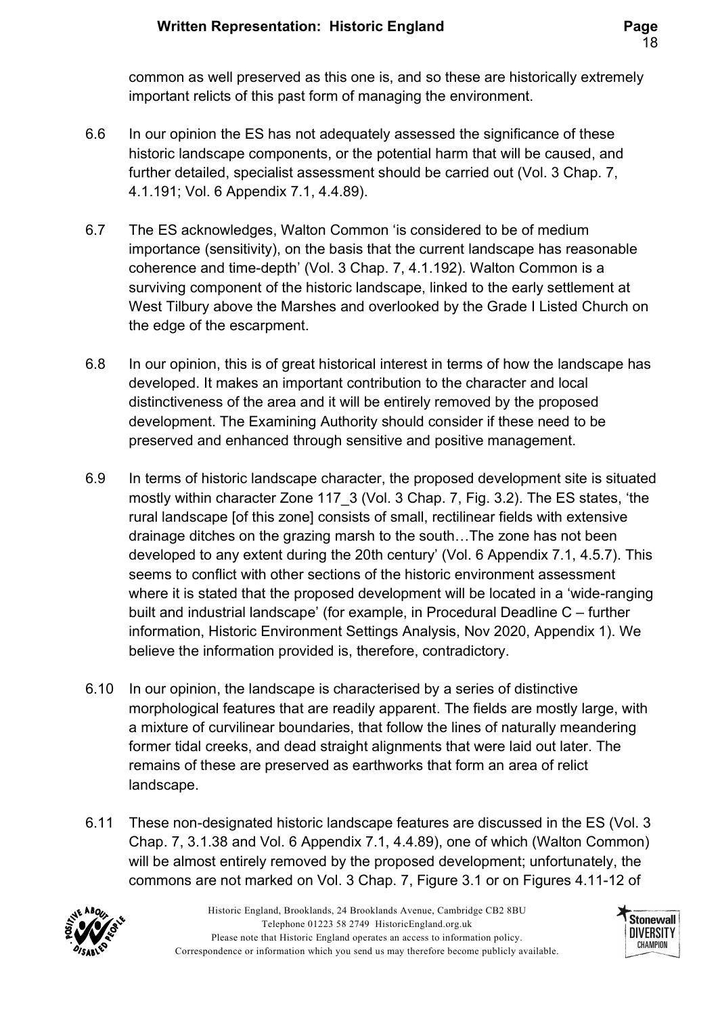common as well preserved as this one is, and so these are historically extremely important relicts of this past form of managing the environment.

- 6.6 In our opinion the ES has not adequately assessed the significance of these historic landscape components, or the potential harm that will be caused, and further detailed, specialist assessment should be carried out (Vol. 3 Chap. 7, 4.1.191; Vol. 6 Appendix 7.1, 4.4.89).
- 6.7 The ES acknowledges, Walton Common 'is considered to be of medium importance (sensitivity), on the basis that the current landscape has reasonable coherence and time-depth' (Vol. 3 Chap. 7, 4.1.192). Walton Common is a surviving component of the historic landscape, linked to the early settlement at West Tilbury above the Marshes and overlooked by the Grade I Listed Church on the edge of the escarpment.
- 6.8 In our opinion, this is of great historical interest in terms of how the landscape has developed. It makes an important contribution to the character and local distinctiveness of the area and it will be entirely removed by the proposed development. The Examining Authority should consider if these need to be preserved and enhanced through sensitive and positive management.
- 6.9 In terms of historic landscape character, the proposed development site is situated mostly within character Zone 117\_3 (Vol. 3 Chap. 7, Fig. 3.2). The ES states, 'the rural landscape [of this zone] consists of small, rectilinear fields with extensive drainage ditches on the grazing marsh to the south…The zone has not been developed to any extent during the 20th century' (Vol. 6 Appendix 7.1, 4.5.7). This seems to conflict with other sections of the historic environment assessment where it is stated that the proposed development will be located in a 'wide-ranging built and industrial landscape' (for example, in Procedural Deadline C – further information, Historic Environment Settings Analysis, Nov 2020, Appendix 1). We believe the information provided is, therefore, contradictory.
- 6.10 In our opinion, the landscape is characterised by a series of distinctive morphological features that are readily apparent. The fields are mostly large, with a mixture of curvilinear boundaries, that follow the lines of naturally meandering former tidal creeks, and dead straight alignments that were laid out later. The remains of these are preserved as earthworks that form an area of relict landscape.
- 6.11 These non-designated historic landscape features are discussed in the ES (Vol. 3 Chap. 7, 3.1.38 and Vol. 6 Appendix 7.1, 4.4.89), one of which (Walton Common) will be almost entirely removed by the proposed development; unfortunately, the commons are not marked on Vol. 3 Chap. 7, Figure 3.1 or on Figures 4.11-12 of



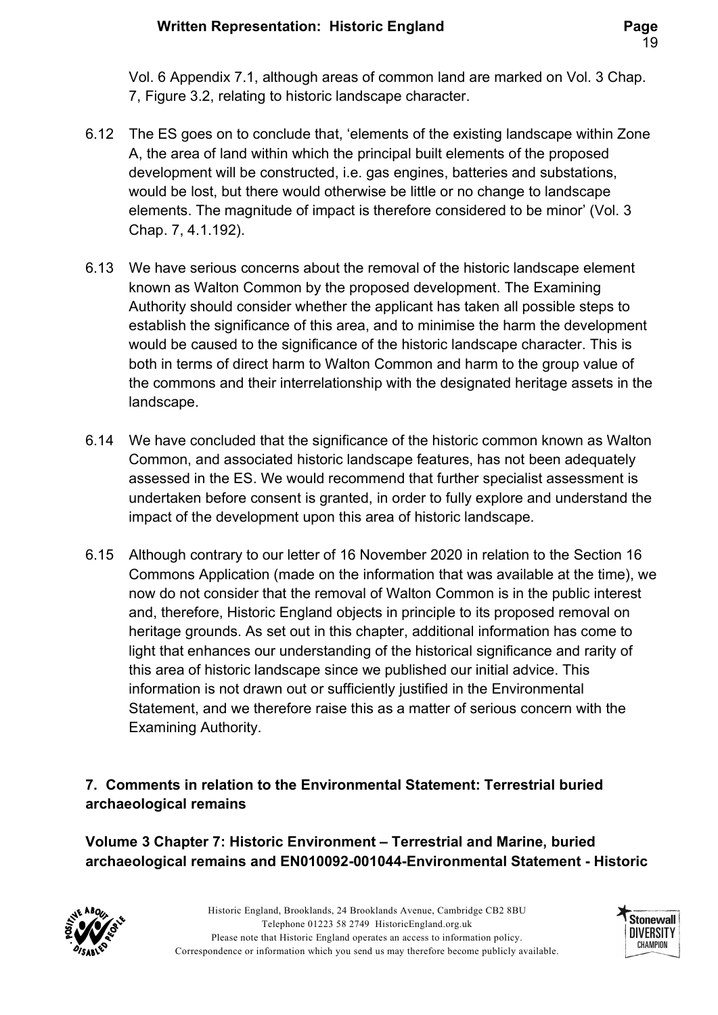Vol. 6 Appendix 7.1, although areas of common land are marked on Vol. 3 Chap. 7, Figure 3.2, relating to historic landscape character.

- 6.12 The ES goes on to conclude that, 'elements of the existing landscape within Zone A, the area of land within which the principal built elements of the proposed development will be constructed, i.e. gas engines, batteries and substations, would be lost, but there would otherwise be little or no change to landscape elements. The magnitude of impact is therefore considered to be minor' (Vol. 3 Chap. 7, 4.1.192).
- 6.13 We have serious concerns about the removal of the historic landscape element known as Walton Common by the proposed development. The Examining Authority should consider whether the applicant has taken all possible steps to establish the significance of this area, and to minimise the harm the development would be caused to the significance of the historic landscape character. This is both in terms of direct harm to Walton Common and harm to the group value of the commons and their interrelationship with the designated heritage assets in the landscape.
- 6.14 We have concluded that the significance of the historic common known as Walton Common, and associated historic landscape features, has not been adequately assessed in the ES. We would recommend that further specialist assessment is undertaken before consent is granted, in order to fully explore and understand the impact of the development upon this area of historic landscape.
- 6.15 Although contrary to our letter of 16 November 2020 in relation to the Section 16 Commons Application (made on the information that was available at the time), we now do not consider that the removal of Walton Common is in the public interest and, therefore, Historic England objects in principle to its proposed removal on heritage grounds. As set out in this chapter, additional information has come to light that enhances our understanding of the historical significance and rarity of this area of historic landscape since we published our initial advice. This information is not drawn out or sufficiently justified in the Environmental Statement, and we therefore raise this as a matter of serious concern with the Examining Authority.

### 7. Comments in relation to the Environmental Statement: Terrestrial buried archaeological remains

Volume 3 Chapter 7: Historic Environment – Terrestrial and Marine, buried archaeological remains and EN010092-001044-Environmental Statement - Historic



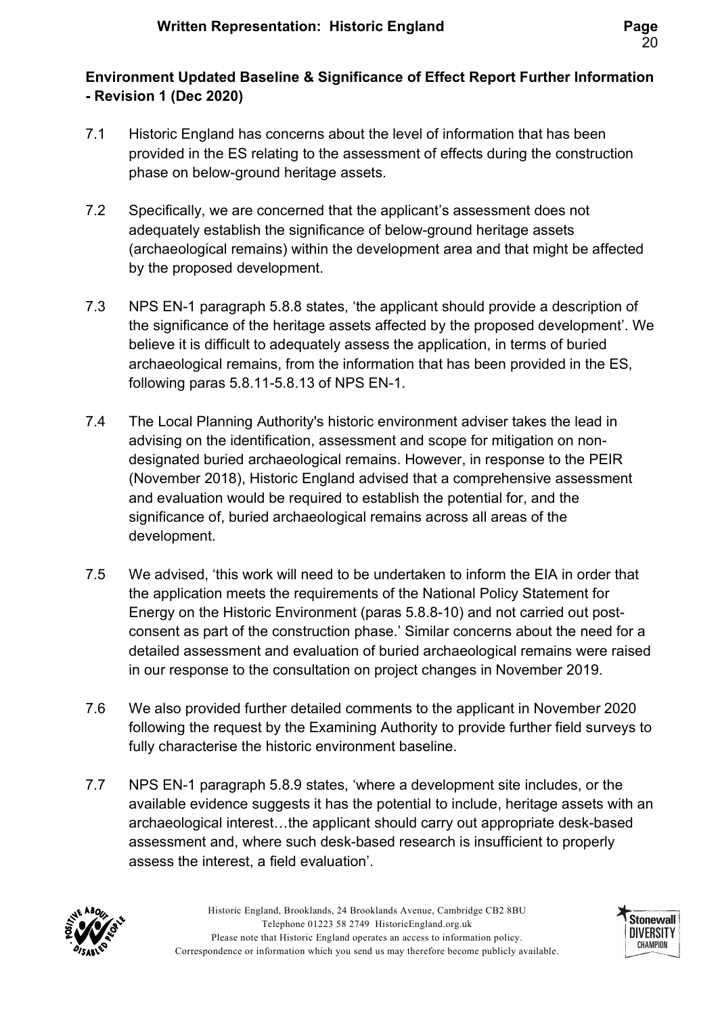# Environment Updated Baseline & Significance of Effect Report Further Information - Revision 1 (Dec 2020)

- 7.1 Historic England has concerns about the level of information that has been provided in the ES relating to the assessment of effects during the construction phase on below-ground heritage assets.
- 7.2 Specifically, we are concerned that the applicant's assessment does not adequately establish the significance of below-ground heritage assets (archaeological remains) within the development area and that might be affected by the proposed development.
- 7.3 NPS EN-1 paragraph 5.8.8 states, 'the applicant should provide a description of the significance of the heritage assets affected by the proposed development'. We believe it is difficult to adequately assess the application, in terms of buried archaeological remains, from the information that has been provided in the ES, following paras 5.8.11-5.8.13 of NPS EN-1.
- 7.4 The Local Planning Authority's historic environment adviser takes the lead in advising on the identification, assessment and scope for mitigation on nondesignated buried archaeological remains. However, in response to the PEIR (November 2018), Historic England advised that a comprehensive assessment and evaluation would be required to establish the potential for, and the significance of, buried archaeological remains across all areas of the development.
- 7.5 We advised, 'this work will need to be undertaken to inform the EIA in order that the application meets the requirements of the National Policy Statement for Energy on the Historic Environment (paras 5.8.8-10) and not carried out postconsent as part of the construction phase.' Similar concerns about the need for a detailed assessment and evaluation of buried archaeological remains were raised in our response to the consultation on project changes in November 2019.
- 7.6 We also provided further detailed comments to the applicant in November 2020 following the request by the Examining Authority to provide further field surveys to fully characterise the historic environment baseline.
- 7.7 NPS EN-1 paragraph 5.8.9 states, 'where a development site includes, or the available evidence suggests it has the potential to include, heritage assets with an archaeological interest…the applicant should carry out appropriate desk-based assessment and, where such desk-based research is insufficient to properly assess the interest, a field evaluation'.



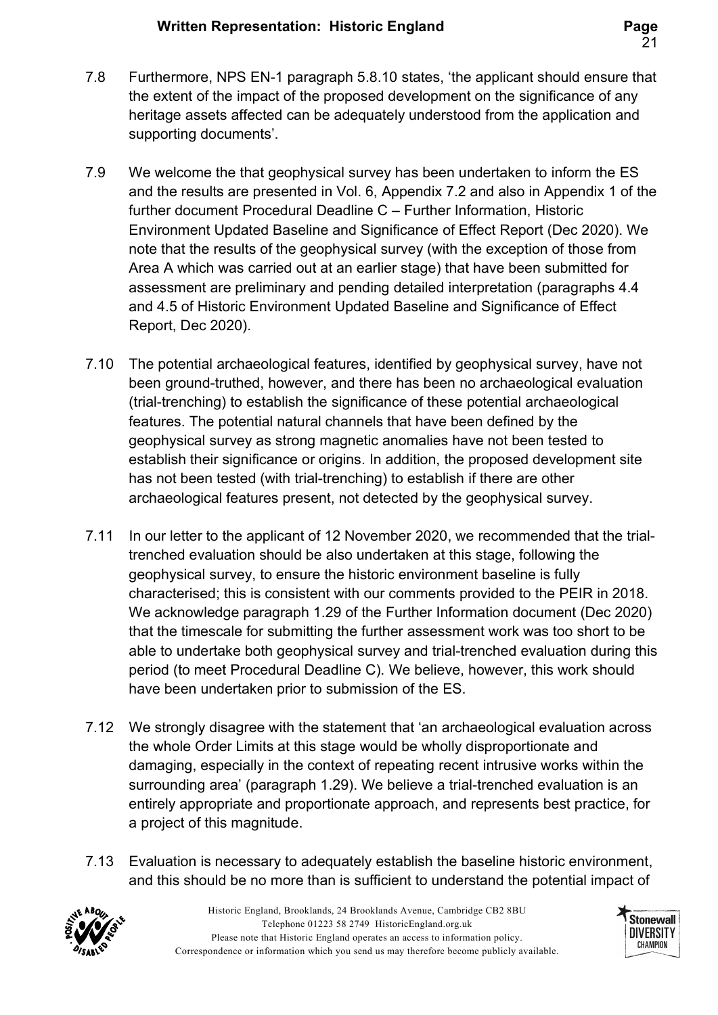- 7.8 Furthermore, NPS EN-1 paragraph 5.8.10 states, 'the applicant should ensure that the extent of the impact of the proposed development on the significance of any heritage assets affected can be adequately understood from the application and supporting documents'.
- 7.9 We welcome the that geophysical survey has been undertaken to inform the ES and the results are presented in Vol. 6, Appendix 7.2 and also in Appendix 1 of the further document Procedural Deadline C – Further Information, Historic Environment Updated Baseline and Significance of Effect Report (Dec 2020). We note that the results of the geophysical survey (with the exception of those from Area A which was carried out at an earlier stage) that have been submitted for assessment are preliminary and pending detailed interpretation (paragraphs 4.4 and 4.5 of Historic Environment Updated Baseline and Significance of Effect Report, Dec 2020).
- 7.10 The potential archaeological features, identified by geophysical survey, have not been ground-truthed, however, and there has been no archaeological evaluation (trial-trenching) to establish the significance of these potential archaeological features. The potential natural channels that have been defined by the geophysical survey as strong magnetic anomalies have not been tested to establish their significance or origins. In addition, the proposed development site has not been tested (with trial-trenching) to establish if there are other archaeological features present, not detected by the geophysical survey.
- 7.11 In our letter to the applicant of 12 November 2020, we recommended that the trialtrenched evaluation should be also undertaken at this stage, following the geophysical survey, to ensure the historic environment baseline is fully characterised; this is consistent with our comments provided to the PEIR in 2018. We acknowledge paragraph 1.29 of the Further Information document (Dec 2020) that the timescale for submitting the further assessment work was too short to be able to undertake both geophysical survey and trial-trenched evaluation during this period (to meet Procedural Deadline C). We believe, however, this work should have been undertaken prior to submission of the ES.
- 7.12 We strongly disagree with the statement that 'an archaeological evaluation across the whole Order Limits at this stage would be wholly disproportionate and damaging, especially in the context of repeating recent intrusive works within the surrounding area' (paragraph 1.29). We believe a trial-trenched evaluation is an entirely appropriate and proportionate approach, and represents best practice, for a project of this magnitude.
- 7.13 Evaluation is necessary to adequately establish the baseline historic environment, and this should be no more than is sufficient to understand the potential impact of



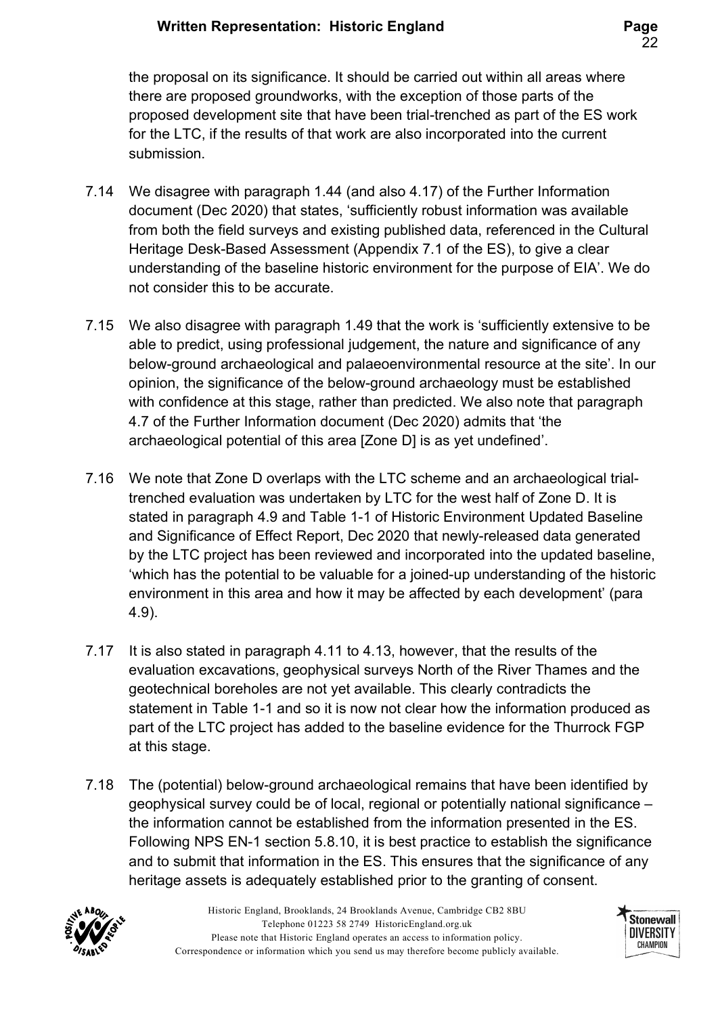the proposal on its significance. It should be carried out within all areas where there are proposed groundworks, with the exception of those parts of the proposed development site that have been trial-trenched as part of the ES work for the LTC, if the results of that work are also incorporated into the current submission.

- 7.14 We disagree with paragraph 1.44 (and also 4.17) of the Further Information document (Dec 2020) that states, 'sufficiently robust information was available from both the field surveys and existing published data, referenced in the Cultural Heritage Desk-Based Assessment (Appendix 7.1 of the ES), to give a clear understanding of the baseline historic environment for the purpose of EIA'. We do not consider this to be accurate.
- 7.15 We also disagree with paragraph 1.49 that the work is 'sufficiently extensive to be able to predict, using professional judgement, the nature and significance of any below-ground archaeological and palaeoenvironmental resource at the site'. In our opinion, the significance of the below-ground archaeology must be established with confidence at this stage, rather than predicted. We also note that paragraph 4.7 of the Further Information document (Dec 2020) admits that 'the archaeological potential of this area [Zone D] is as yet undefined'.
- 7.16 We note that Zone D overlaps with the LTC scheme and an archaeological trialtrenched evaluation was undertaken by LTC for the west half of Zone D. It is stated in paragraph 4.9 and Table 1-1 of Historic Environment Updated Baseline and Significance of Effect Report, Dec 2020 that newly-released data generated by the LTC project has been reviewed and incorporated into the updated baseline, 'which has the potential to be valuable for a joined-up understanding of the historic environment in this area and how it may be affected by each development' (para 4.9).
- 7.17 It is also stated in paragraph 4.11 to 4.13, however, that the results of the evaluation excavations, geophysical surveys North of the River Thames and the geotechnical boreholes are not yet available. This clearly contradicts the statement in Table 1-1 and so it is now not clear how the information produced as part of the LTC project has added to the baseline evidence for the Thurrock FGP at this stage.
- 7.18 The (potential) below-ground archaeological remains that have been identified by geophysical survey could be of local, regional or potentially national significance – the information cannot be established from the information presented in the ES. Following NPS EN-1 section 5.8.10, it is best practice to establish the significance and to submit that information in the ES. This ensures that the significance of any heritage assets is adequately established prior to the granting of consent.



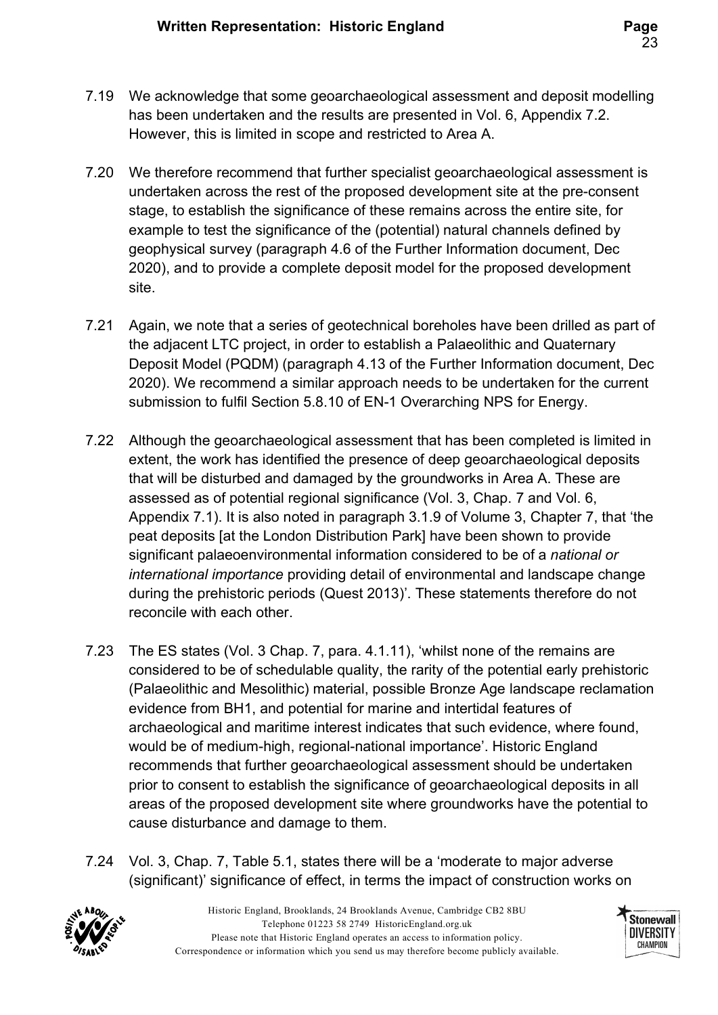- 7.19 We acknowledge that some geoarchaeological assessment and deposit modelling has been undertaken and the results are presented in Vol. 6, Appendix 7.2. However, this is limited in scope and restricted to Area A.
- 7.20 We therefore recommend that further specialist geoarchaeological assessment is undertaken across the rest of the proposed development site at the pre-consent stage, to establish the significance of these remains across the entire site, for example to test the significance of the (potential) natural channels defined by geophysical survey (paragraph 4.6 of the Further Information document, Dec 2020), and to provide a complete deposit model for the proposed development site.
- 7.21 Again, we note that a series of geotechnical boreholes have been drilled as part of the adjacent LTC project, in order to establish a Palaeolithic and Quaternary Deposit Model (PQDM) (paragraph 4.13 of the Further Information document, Dec 2020). We recommend a similar approach needs to be undertaken for the current submission to fulfil Section 5.8.10 of EN-1 Overarching NPS for Energy.
- 7.22 Although the geoarchaeological assessment that has been completed is limited in extent, the work has identified the presence of deep geoarchaeological deposits that will be disturbed and damaged by the groundworks in Area A. These are assessed as of potential regional significance (Vol. 3, Chap. 7 and Vol. 6, Appendix 7.1). It is also noted in paragraph 3.1.9 of Volume 3, Chapter 7, that 'the peat deposits [at the London Distribution Park] have been shown to provide significant palaeoenvironmental information considered to be of a national or international importance providing detail of environmental and landscape change during the prehistoric periods (Quest 2013)'. These statements therefore do not reconcile with each other.
- 7.23 The ES states (Vol. 3 Chap. 7, para. 4.1.11), 'whilst none of the remains are considered to be of schedulable quality, the rarity of the potential early prehistoric (Palaeolithic and Mesolithic) material, possible Bronze Age landscape reclamation evidence from BH1, and potential for marine and intertidal features of archaeological and maritime interest indicates that such evidence, where found, would be of medium-high, regional-national importance'. Historic England recommends that further geoarchaeological assessment should be undertaken prior to consent to establish the significance of geoarchaeological deposits in all areas of the proposed development site where groundworks have the potential to cause disturbance and damage to them.
- 7.24 Vol. 3, Chap. 7, Table 5.1, states there will be a 'moderate to major adverse (significant)' significance of effect, in terms the impact of construction works on



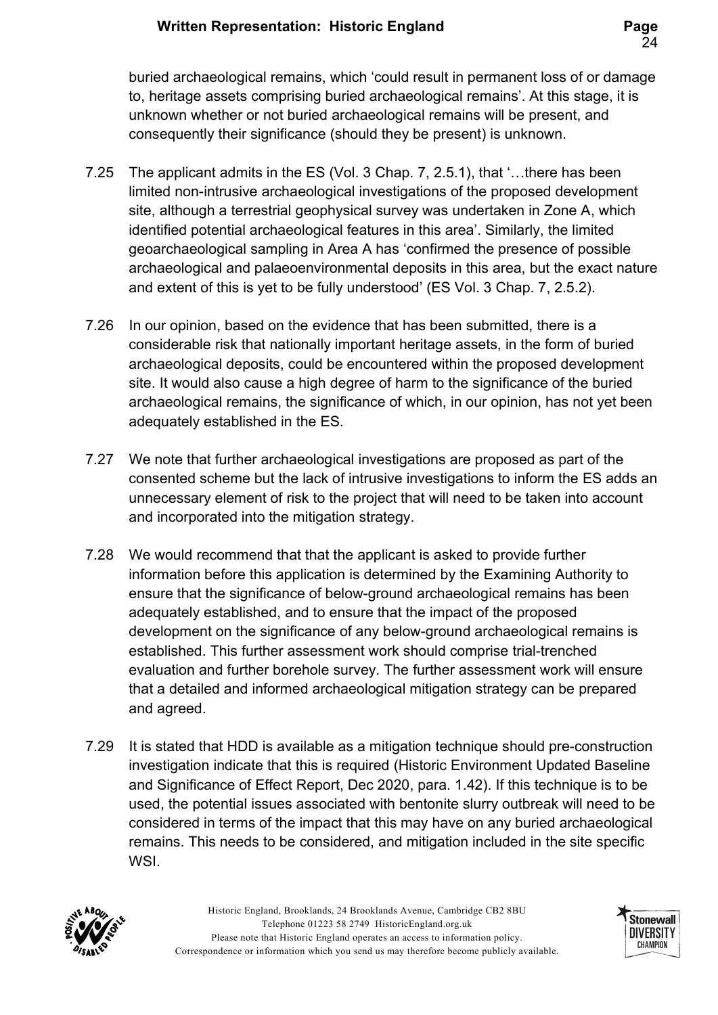buried archaeological remains, which 'could result in permanent loss of or damage to, heritage assets comprising buried archaeological remains'. At this stage, it is unknown whether or not buried archaeological remains will be present, and consequently their significance (should they be present) is unknown.

- 7.25 The applicant admits in the ES (Vol. 3 Chap. 7, 2.5.1), that '…there has been limited non-intrusive archaeological investigations of the proposed development site, although a terrestrial geophysical survey was undertaken in Zone A, which identified potential archaeological features in this area'. Similarly, the limited geoarchaeological sampling in Area A has 'confirmed the presence of possible archaeological and palaeoenvironmental deposits in this area, but the exact nature and extent of this is yet to be fully understood' (ES Vol. 3 Chap. 7, 2.5.2).
- 7.26 In our opinion, based on the evidence that has been submitted, there is a considerable risk that nationally important heritage assets, in the form of buried archaeological deposits, could be encountered within the proposed development site. It would also cause a high degree of harm to the significance of the buried archaeological remains, the significance of which, in our opinion, has not yet been adequately established in the ES.
- 7.27 We note that further archaeological investigations are proposed as part of the consented scheme but the lack of intrusive investigations to inform the ES adds an unnecessary element of risk to the project that will need to be taken into account and incorporated into the mitigation strategy.
- 7.28 We would recommend that that the applicant is asked to provide further information before this application is determined by the Examining Authority to ensure that the significance of below-ground archaeological remains has been adequately established, and to ensure that the impact of the proposed development on the significance of any below-ground archaeological remains is established. This further assessment work should comprise trial-trenched evaluation and further borehole survey. The further assessment work will ensure that a detailed and informed archaeological mitigation strategy can be prepared and agreed.
- 7.29 It is stated that HDD is available as a mitigation technique should pre-construction investigation indicate that this is required (Historic Environment Updated Baseline and Significance of Effect Report, Dec 2020, para. 1.42). If this technique is to be used, the potential issues associated with bentonite slurry outbreak will need to be considered in terms of the impact that this may have on any buried archaeological remains. This needs to be considered, and mitigation included in the site specific WSI.



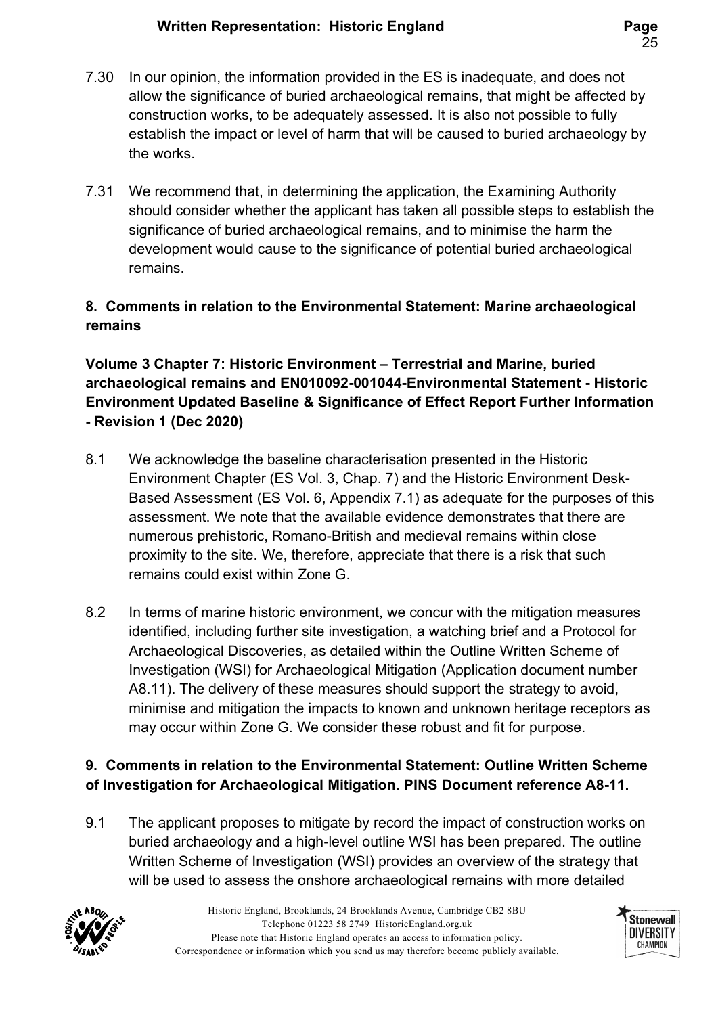- 7.30 In our opinion, the information provided in the ES is inadequate, and does not allow the significance of buried archaeological remains, that might be affected by construction works, to be adequately assessed. It is also not possible to fully establish the impact or level of harm that will be caused to buried archaeology by the works.
- 7.31 We recommend that, in determining the application, the Examining Authority should consider whether the applicant has taken all possible steps to establish the significance of buried archaeological remains, and to minimise the harm the development would cause to the significance of potential buried archaeological remains.

# 8. Comments in relation to the Environmental Statement: Marine archaeological remains

### Volume 3 Chapter 7: Historic Environment – Terrestrial and Marine, buried archaeological remains and EN010092-001044-Environmental Statement - Historic Environment Updated Baseline & Significance of Effect Report Further Information - Revision 1 (Dec 2020)

- 8.1 We acknowledge the baseline characterisation presented in the Historic Environment Chapter (ES Vol. 3, Chap. 7) and the Historic Environment Desk-Based Assessment (ES Vol. 6, Appendix 7.1) as adequate for the purposes of this assessment. We note that the available evidence demonstrates that there are numerous prehistoric, Romano-British and medieval remains within close proximity to the site. We, therefore, appreciate that there is a risk that such remains could exist within Zone G.
- 8.2 In terms of marine historic environment, we concur with the mitigation measures identified, including further site investigation, a watching brief and a Protocol for Archaeological Discoveries, as detailed within the Outline Written Scheme of Investigation (WSI) for Archaeological Mitigation (Application document number A8.11). The delivery of these measures should support the strategy to avoid, minimise and mitigation the impacts to known and unknown heritage receptors as may occur within Zone G. We consider these robust and fit for purpose.

# 9. Comments in relation to the Environmental Statement: Outline Written Scheme of Investigation for Archaeological Mitigation. PINS Document reference A8-11.

9.1 The applicant proposes to mitigate by record the impact of construction works on buried archaeology and a high-level outline WSI has been prepared. The outline Written Scheme of Investigation (WSI) provides an overview of the strategy that will be used to assess the onshore archaeological remains with more detailed



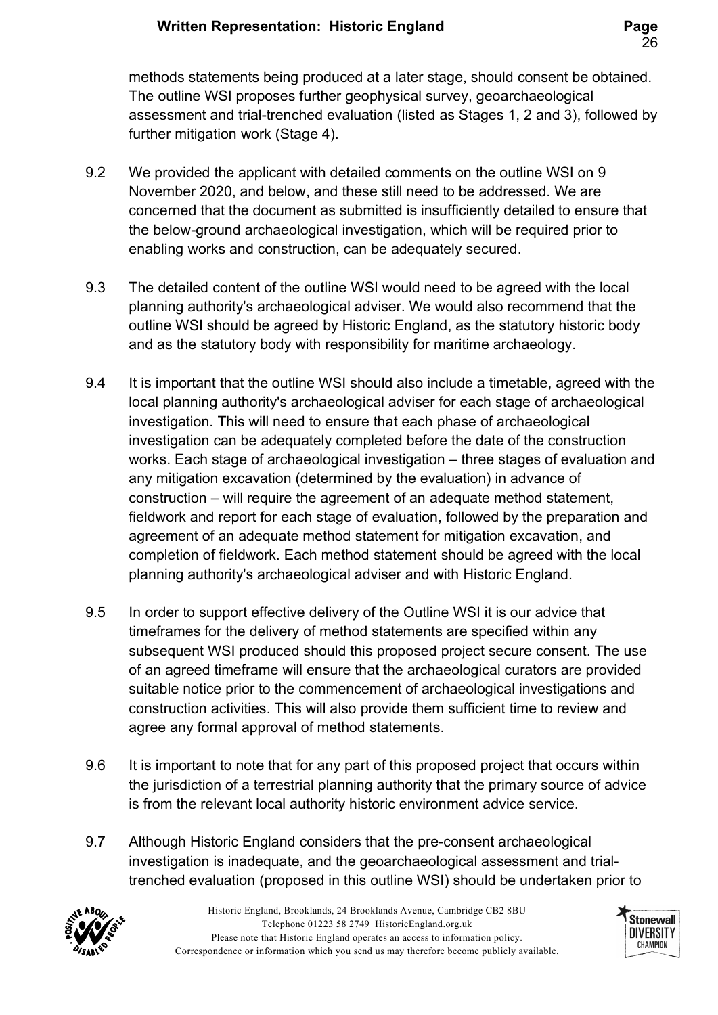methods statements being produced at a later stage, should consent be obtained. The outline WSI proposes further geophysical survey, geoarchaeological assessment and trial-trenched evaluation (listed as Stages 1, 2 and 3), followed by further mitigation work (Stage 4).

- 9.2 We provided the applicant with detailed comments on the outline WSI on 9 November 2020, and below, and these still need to be addressed. We are concerned that the document as submitted is insufficiently detailed to ensure that the below-ground archaeological investigation, which will be required prior to enabling works and construction, can be adequately secured.
- 9.3 The detailed content of the outline WSI would need to be agreed with the local planning authority's archaeological adviser. We would also recommend that the outline WSI should be agreed by Historic England, as the statutory historic body and as the statutory body with responsibility for maritime archaeology.
- 9.4 It is important that the outline WSI should also include a timetable, agreed with the local planning authority's archaeological adviser for each stage of archaeological investigation. This will need to ensure that each phase of archaeological investigation can be adequately completed before the date of the construction works. Each stage of archaeological investigation – three stages of evaluation and any mitigation excavation (determined by the evaluation) in advance of construction – will require the agreement of an adequate method statement, fieldwork and report for each stage of evaluation, followed by the preparation and agreement of an adequate method statement for mitigation excavation, and completion of fieldwork. Each method statement should be agreed with the local planning authority's archaeological adviser and with Historic England.
- 9.5 In order to support effective delivery of the Outline WSI it is our advice that timeframes for the delivery of method statements are specified within any subsequent WSI produced should this proposed project secure consent. The use of an agreed timeframe will ensure that the archaeological curators are provided suitable notice prior to the commencement of archaeological investigations and construction activities. This will also provide them sufficient time to review and agree any formal approval of method statements.
- 9.6 It is important to note that for any part of this proposed project that occurs within the jurisdiction of a terrestrial planning authority that the primary source of advice is from the relevant local authority historic environment advice service.
- 9.7 Although Historic England considers that the pre-consent archaeological investigation is inadequate, and the geoarchaeological assessment and trialtrenched evaluation (proposed in this outline WSI) should be undertaken prior to



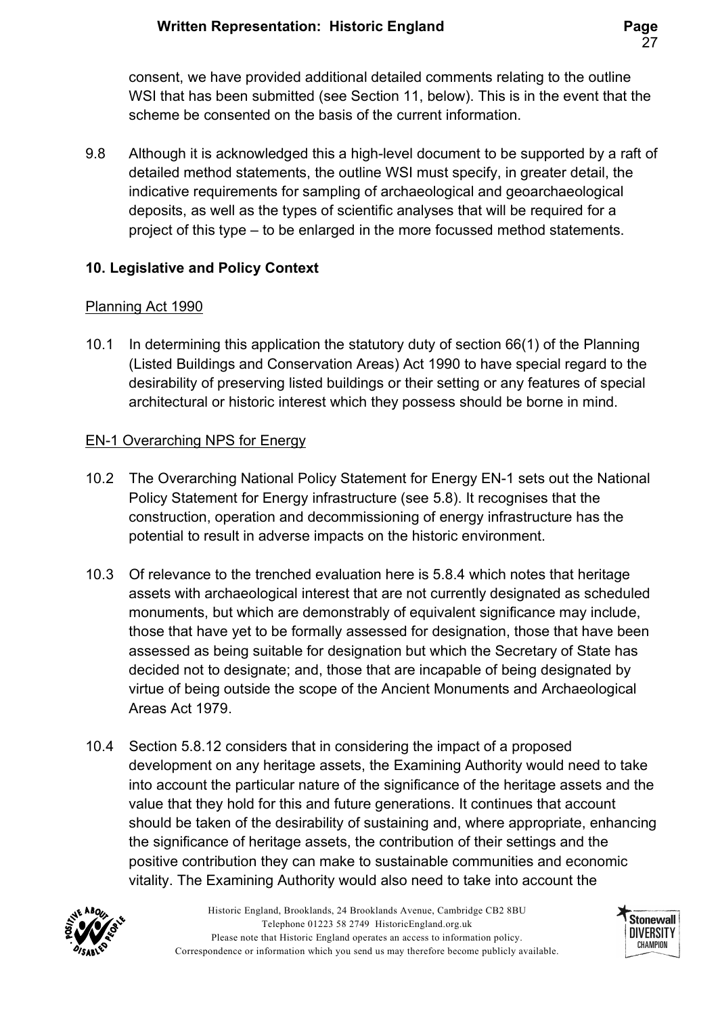consent, we have provided additional detailed comments relating to the outline WSI that has been submitted (see Section 11, below). This is in the event that the scheme be consented on the basis of the current information.

9.8 Although it is acknowledged this a high-level document to be supported by a raft of detailed method statements, the outline WSI must specify, in greater detail, the indicative requirements for sampling of archaeological and geoarchaeological deposits, as well as the types of scientific analyses that will be required for a project of this type – to be enlarged in the more focussed method statements.

### 10. Legislative and Policy Context

#### Planning Act 1990

10.1 In determining this application the statutory duty of section 66(1) of the Planning (Listed Buildings and Conservation Areas) Act 1990 to have special regard to the desirability of preserving listed buildings or their setting or any features of special architectural or historic interest which they possess should be borne in mind.

#### EN-1 Overarching NPS for Energy

- 10.2 The Overarching National Policy Statement for Energy EN-1 sets out the National Policy Statement for Energy infrastructure (see 5.8). It recognises that the construction, operation and decommissioning of energy infrastructure has the potential to result in adverse impacts on the historic environment.
- 10.3 Of relevance to the trenched evaluation here is 5.8.4 which notes that heritage assets with archaeological interest that are not currently designated as scheduled monuments, but which are demonstrably of equivalent significance may include, those that have yet to be formally assessed for designation, those that have been assessed as being suitable for designation but which the Secretary of State has decided not to designate; and, those that are incapable of being designated by virtue of being outside the scope of the Ancient Monuments and Archaeological Areas Act 1979.
- 10.4 Section 5.8.12 considers that in considering the impact of a proposed development on any heritage assets, the Examining Authority would need to take into account the particular nature of the significance of the heritage assets and the value that they hold for this and future generations. It continues that account should be taken of the desirability of sustaining and, where appropriate, enhancing the significance of heritage assets, the contribution of their settings and the positive contribution they can make to sustainable communities and economic vitality. The Examining Authority would also need to take into account the



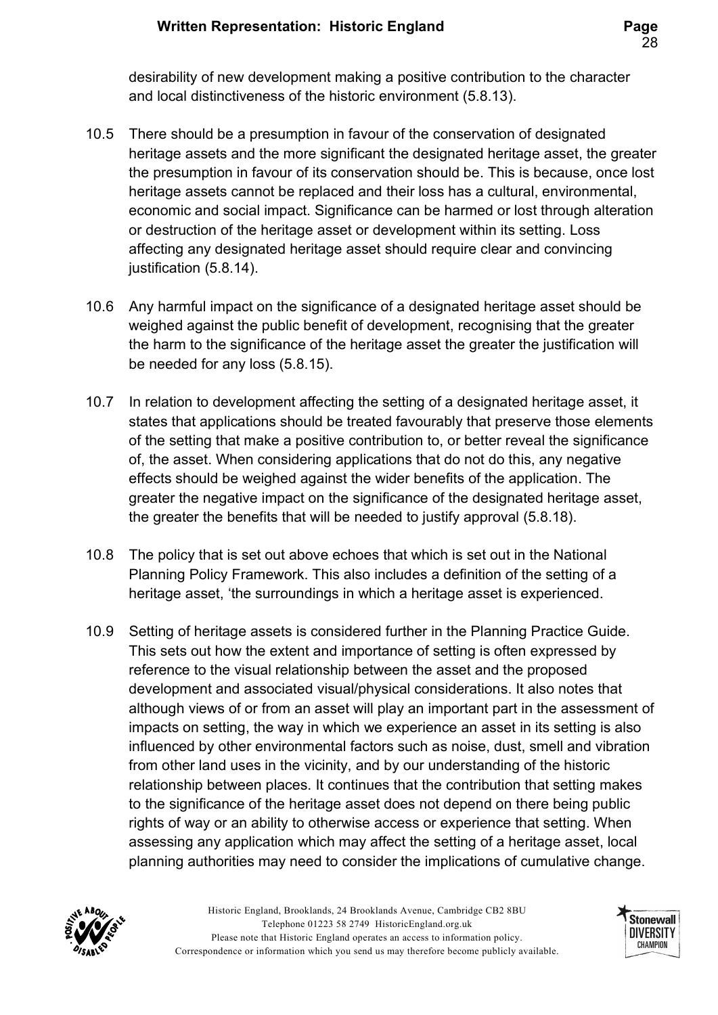desirability of new development making a positive contribution to the character and local distinctiveness of the historic environment (5.8.13).

- 10.5 There should be a presumption in favour of the conservation of designated heritage assets and the more significant the designated heritage asset, the greater the presumption in favour of its conservation should be. This is because, once lost heritage assets cannot be replaced and their loss has a cultural, environmental, economic and social impact. Significance can be harmed or lost through alteration or destruction of the heritage asset or development within its setting. Loss affecting any designated heritage asset should require clear and convincing justification (5.8.14).
- 10.6 Any harmful impact on the significance of a designated heritage asset should be weighed against the public benefit of development, recognising that the greater the harm to the significance of the heritage asset the greater the justification will be needed for any loss (5.8.15).
- 10.7 In relation to development affecting the setting of a designated heritage asset, it states that applications should be treated favourably that preserve those elements of the setting that make a positive contribution to, or better reveal the significance of, the asset. When considering applications that do not do this, any negative effects should be weighed against the wider benefits of the application. The greater the negative impact on the significance of the designated heritage asset, the greater the benefits that will be needed to justify approval (5.8.18).
- 10.8 The policy that is set out above echoes that which is set out in the National Planning Policy Framework. This also includes a definition of the setting of a heritage asset, 'the surroundings in which a heritage asset is experienced.
- 10.9 Setting of heritage assets is considered further in the Planning Practice Guide. This sets out how the extent and importance of setting is often expressed by reference to the visual relationship between the asset and the proposed development and associated visual/physical considerations. It also notes that although views of or from an asset will play an important part in the assessment of impacts on setting, the way in which we experience an asset in its setting is also influenced by other environmental factors such as noise, dust, smell and vibration from other land uses in the vicinity, and by our understanding of the historic relationship between places. It continues that the contribution that setting makes to the significance of the heritage asset does not depend on there being public rights of way or an ability to otherwise access or experience that setting. When assessing any application which may affect the setting of a heritage asset, local planning authorities may need to consider the implications of cumulative change.



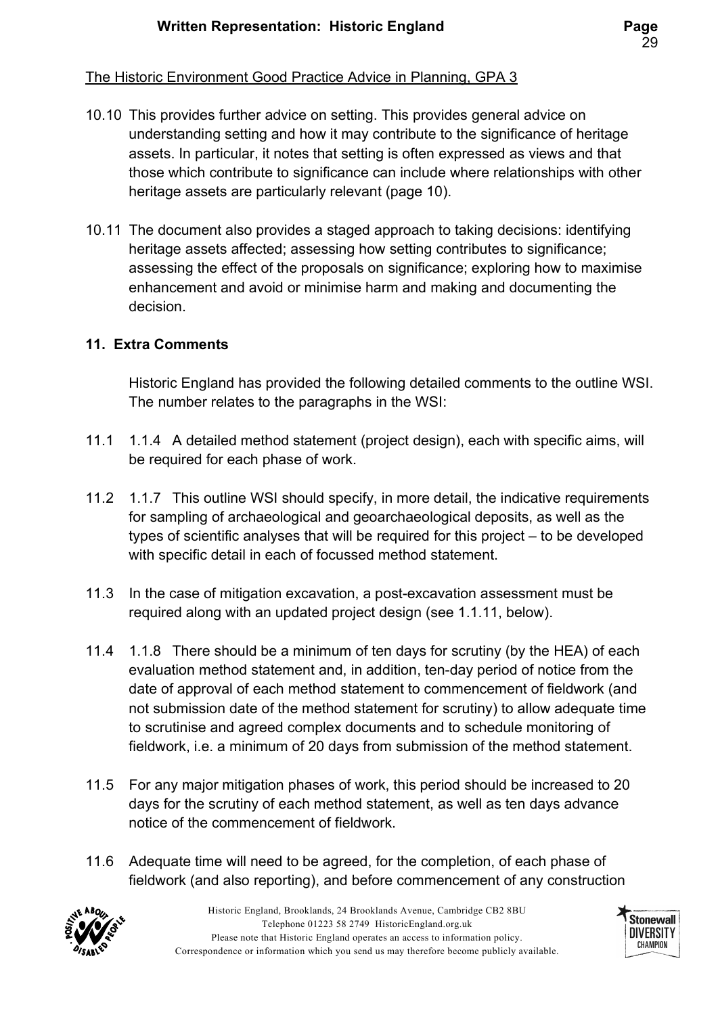#### The Historic Environment Good Practice Advice in Planning, GPA 3

- 10.10 This provides further advice on setting. This provides general advice on understanding setting and how it may contribute to the significance of heritage assets. In particular, it notes that setting is often expressed as views and that those which contribute to significance can include where relationships with other heritage assets are particularly relevant (page 10).
- 10.11 The document also provides a staged approach to taking decisions: identifying heritage assets affected; assessing how setting contributes to significance; assessing the effect of the proposals on significance; exploring how to maximise enhancement and avoid or minimise harm and making and documenting the decision.

### 11. Extra Comments

Historic England has provided the following detailed comments to the outline WSI. The number relates to the paragraphs in the WSI:

- 11.1 1.1.4 A detailed method statement (project design), each with specific aims, will be required for each phase of work.
- 11.2 1.1.7 This outline WSI should specify, in more detail, the indicative requirements for sampling of archaeological and geoarchaeological deposits, as well as the types of scientific analyses that will be required for this project – to be developed with specific detail in each of focussed method statement.
- 11.3 In the case of mitigation excavation, a post-excavation assessment must be required along with an updated project design (see 1.1.11, below).
- 11.4 1.1.8 There should be a minimum of ten days for scrutiny (by the HEA) of each evaluation method statement and, in addition, ten-day period of notice from the date of approval of each method statement to commencement of fieldwork (and not submission date of the method statement for scrutiny) to allow adequate time to scrutinise and agreed complex documents and to schedule monitoring of fieldwork, i.e. a minimum of 20 days from submission of the method statement.
- 11.5 For any major mitigation phases of work, this period should be increased to 20 days for the scrutiny of each method statement, as well as ten days advance notice of the commencement of fieldwork.
- 11.6 Adequate time will need to be agreed, for the completion, of each phase of fieldwork (and also reporting), and before commencement of any construction



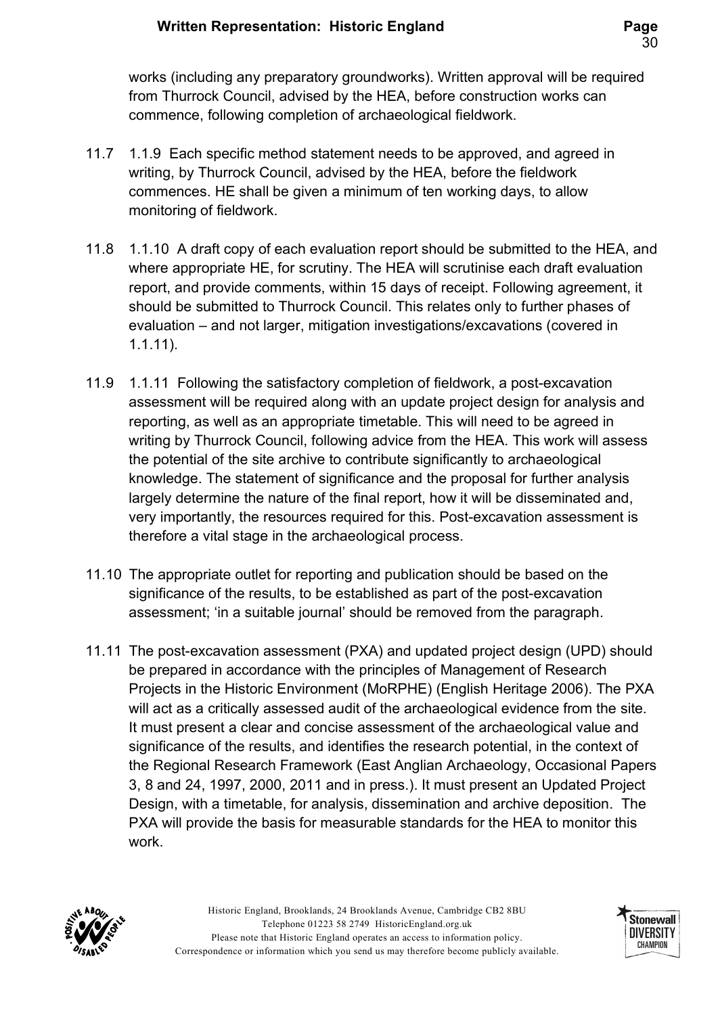works (including any preparatory groundworks). Written approval will be required from Thurrock Council, advised by the HEA, before construction works can commence, following completion of archaeological fieldwork.

- 11.7 1.1.9 Each specific method statement needs to be approved, and agreed in writing, by Thurrock Council, advised by the HEA, before the fieldwork commences. HE shall be given a minimum of ten working days, to allow monitoring of fieldwork.
- 11.8 1.1.10 A draft copy of each evaluation report should be submitted to the HEA, and where appropriate HE, for scrutiny. The HEA will scrutinise each draft evaluation report, and provide comments, within 15 days of receipt. Following agreement, it should be submitted to Thurrock Council. This relates only to further phases of evaluation – and not larger, mitigation investigations/excavations (covered in 1.1.11).
- 11.9 1.1.11 Following the satisfactory completion of fieldwork, a post-excavation assessment will be required along with an update project design for analysis and reporting, as well as an appropriate timetable. This will need to be agreed in writing by Thurrock Council, following advice from the HEA. This work will assess the potential of the site archive to contribute significantly to archaeological knowledge. The statement of significance and the proposal for further analysis largely determine the nature of the final report, how it will be disseminated and, very importantly, the resources required for this. Post-excavation assessment is therefore a vital stage in the archaeological process.
- 11.10 The appropriate outlet for reporting and publication should be based on the significance of the results, to be established as part of the post-excavation assessment; 'in a suitable journal' should be removed from the paragraph.
- 11.11 The post-excavation assessment (PXA) and updated project design (UPD) should be prepared in accordance with the principles of Management of Research Projects in the Historic Environment (MoRPHE) (English Heritage 2006). The PXA will act as a critically assessed audit of the archaeological evidence from the site. It must present a clear and concise assessment of the archaeological value and significance of the results, and identifies the research potential, in the context of the Regional Research Framework (East Anglian Archaeology, Occasional Papers 3, 8 and 24, 1997, 2000, 2011 and in press.). It must present an Updated Project Design, with a timetable, for analysis, dissemination and archive deposition. The PXA will provide the basis for measurable standards for the HEA to monitor this work.



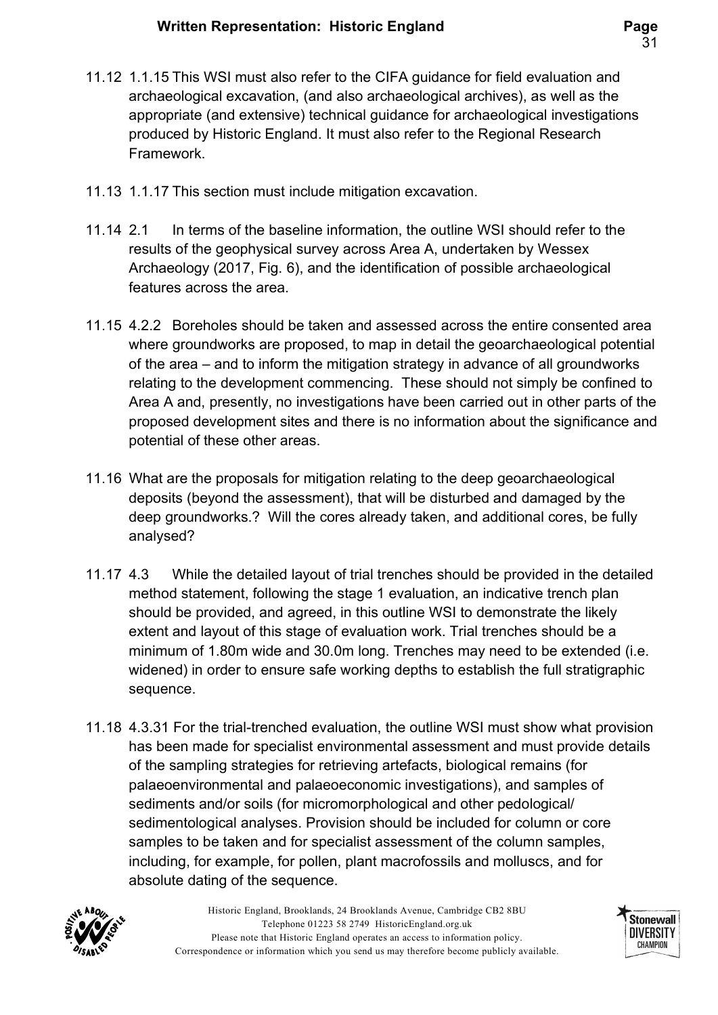- 11.12 1.1.15 This WSI must also refer to the CIFA guidance for field evaluation and archaeological excavation, (and also archaeological archives), as well as the appropriate (and extensive) technical guidance for archaeological investigations produced by Historic England. It must also refer to the Regional Research Framework.
- 11.13 1.1.17 This section must include mitigation excavation.
- 11.14 2.1 In terms of the baseline information, the outline WSI should refer to the results of the geophysical survey across Area A, undertaken by Wessex Archaeology (2017, Fig. 6), and the identification of possible archaeological features across the area.
- 11.15 4.2.2 Boreholes should be taken and assessed across the entire consented area where groundworks are proposed, to map in detail the geoarchaeological potential of the area – and to inform the mitigation strategy in advance of all groundworks relating to the development commencing. These should not simply be confined to Area A and, presently, no investigations have been carried out in other parts of the proposed development sites and there is no information about the significance and potential of these other areas.
- 11.16 What are the proposals for mitigation relating to the deep geoarchaeological deposits (beyond the assessment), that will be disturbed and damaged by the deep groundworks.? Will the cores already taken, and additional cores, be fully analysed?
- 11.17 4.3 While the detailed layout of trial trenches should be provided in the detailed method statement, following the stage 1 evaluation, an indicative trench plan should be provided, and agreed, in this outline WSI to demonstrate the likely extent and layout of this stage of evaluation work. Trial trenches should be a minimum of 1.80m wide and 30.0m long. Trenches may need to be extended (i.e. widened) in order to ensure safe working depths to establish the full stratigraphic sequence.
- 11.18 4.3.31 For the trial-trenched evaluation, the outline WSI must show what provision has been made for specialist environmental assessment and must provide details of the sampling strategies for retrieving artefacts, biological remains (for palaeoenvironmental and palaeoeconomic investigations), and samples of sediments and/or soils (for micromorphological and other pedological/ sedimentological analyses. Provision should be included for column or core samples to be taken and for specialist assessment of the column samples, including, for example, for pollen, plant macrofossils and molluscs, and for absolute dating of the sequence.



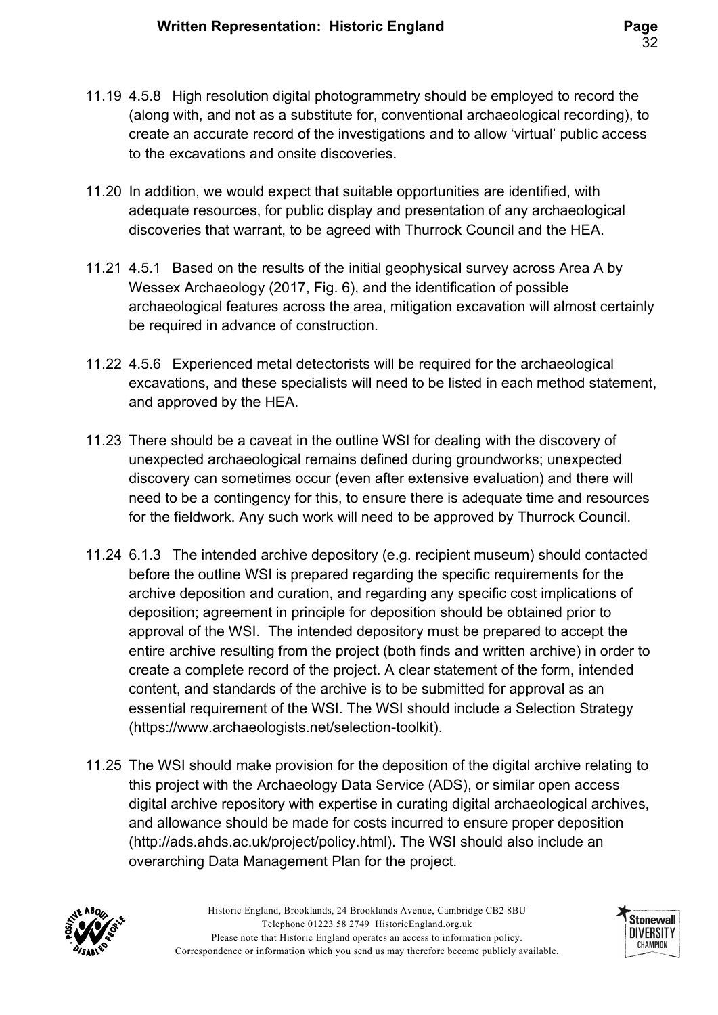- 11.19 4.5.8 High resolution digital photogrammetry should be employed to record the (along with, and not as a substitute for, conventional archaeological recording), to create an accurate record of the investigations and to allow 'virtual' public access to the excavations and onsite discoveries.
- 11.20 In addition, we would expect that suitable opportunities are identified, with adequate resources, for public display and presentation of any archaeological discoveries that warrant, to be agreed with Thurrock Council and the HEA.
- 11.21 4.5.1 Based on the results of the initial geophysical survey across Area A by Wessex Archaeology (2017, Fig. 6), and the identification of possible archaeological features across the area, mitigation excavation will almost certainly be required in advance of construction.
- 11.22 4.5.6 Experienced metal detectorists will be required for the archaeological excavations, and these specialists will need to be listed in each method statement, and approved by the HEA.
- 11.23 There should be a caveat in the outline WSI for dealing with the discovery of unexpected archaeological remains defined during groundworks; unexpected discovery can sometimes occur (even after extensive evaluation) and there will need to be a contingency for this, to ensure there is adequate time and resources for the fieldwork. Any such work will need to be approved by Thurrock Council.
- 11.24 6.1.3 The intended archive depository (e.g. recipient museum) should contacted before the outline WSI is prepared regarding the specific requirements for the archive deposition and curation, and regarding any specific cost implications of deposition; agreement in principle for deposition should be obtained prior to approval of the WSI. The intended depository must be prepared to accept the entire archive resulting from the project (both finds and written archive) in order to create a complete record of the project. A clear statement of the form, intended content, and standards of the archive is to be submitted for approval as an essential requirement of the WSI. The WSI should include a Selection Strategy (https://www.archaeologists.net/selection-toolkit).
- 11.25 The WSI should make provision for the deposition of the digital archive relating to this project with the Archaeology Data Service (ADS), or similar open access digital archive repository with expertise in curating digital archaeological archives, and allowance should be made for costs incurred to ensure proper deposition (http://ads.ahds.ac.uk/project/policy.html). The WSI should also include an overarching Data Management Plan for the project.



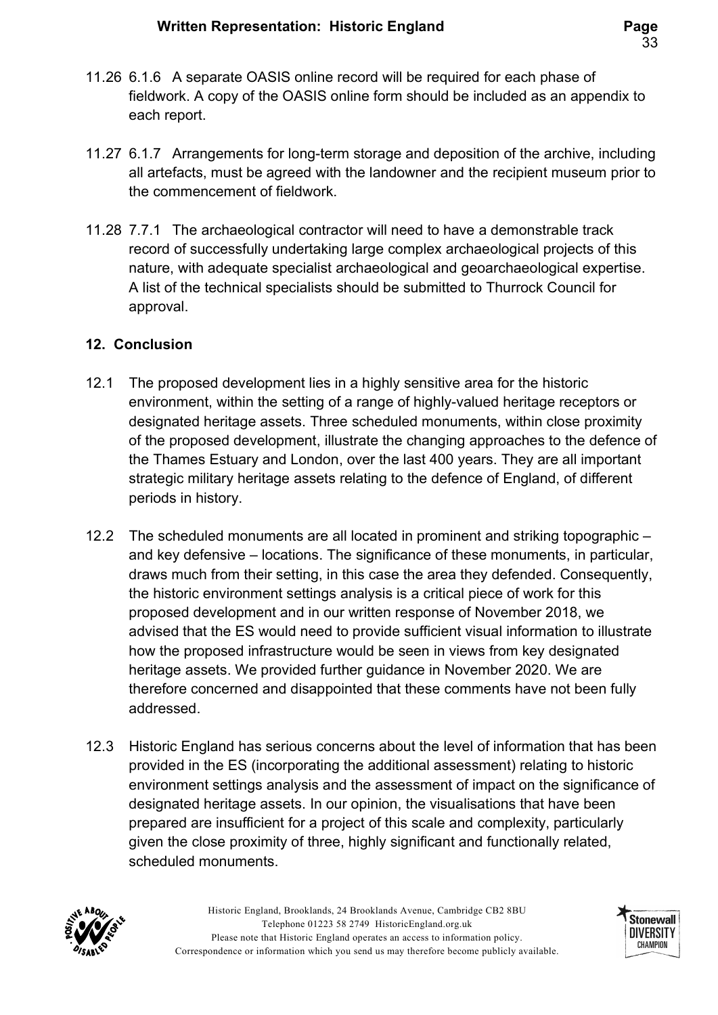- 11.26 6.1.6 A separate OASIS online record will be required for each phase of fieldwork. A copy of the OASIS online form should be included as an appendix to each report.
- 11.27 6.1.7 Arrangements for long-term storage and deposition of the archive, including all artefacts, must be agreed with the landowner and the recipient museum prior to the commencement of fieldwork.
- 11.28 7.7.1 The archaeological contractor will need to have a demonstrable track record of successfully undertaking large complex archaeological projects of this nature, with adequate specialist archaeological and geoarchaeological expertise. A list of the technical specialists should be submitted to Thurrock Council for approval.

### 12. Conclusion

- 12.1 The proposed development lies in a highly sensitive area for the historic environment, within the setting of a range of highly-valued heritage receptors or designated heritage assets. Three scheduled monuments, within close proximity of the proposed development, illustrate the changing approaches to the defence of the Thames Estuary and London, over the last 400 years. They are all important strategic military heritage assets relating to the defence of England, of different periods in history.
- 12.2 The scheduled monuments are all located in prominent and striking topographic and key defensive – locations. The significance of these monuments, in particular, draws much from their setting, in this case the area they defended. Consequently, the historic environment settings analysis is a critical piece of work for this proposed development and in our written response of November 2018, we advised that the ES would need to provide sufficient visual information to illustrate how the proposed infrastructure would be seen in views from key designated heritage assets. We provided further guidance in November 2020. We are therefore concerned and disappointed that these comments have not been fully addressed.
- 12.3 Historic England has serious concerns about the level of information that has been provided in the ES (incorporating the additional assessment) relating to historic environment settings analysis and the assessment of impact on the significance of designated heritage assets. In our opinion, the visualisations that have been prepared are insufficient for a project of this scale and complexity, particularly given the close proximity of three, highly significant and functionally related, scheduled monuments.



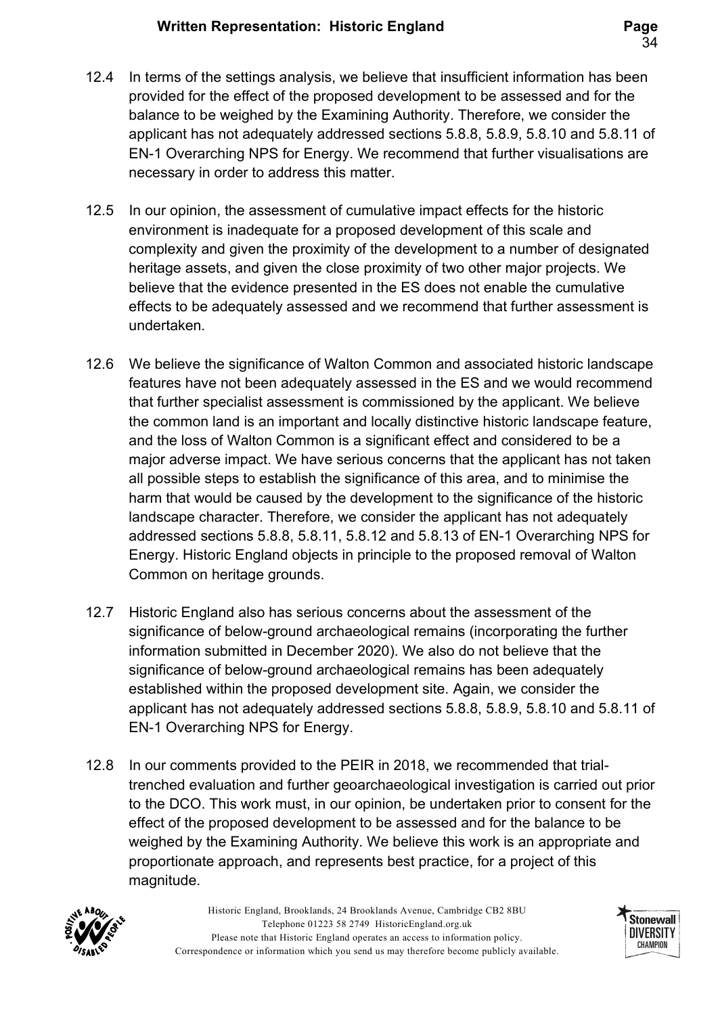- 12.4 In terms of the settings analysis, we believe that insufficient information has been provided for the effect of the proposed development to be assessed and for the balance to be weighed by the Examining Authority. Therefore, we consider the applicant has not adequately addressed sections 5.8.8, 5.8.9, 5.8.10 and 5.8.11 of EN-1 Overarching NPS for Energy. We recommend that further visualisations are necessary in order to address this matter.
- 12.5 In our opinion, the assessment of cumulative impact effects for the historic environment is inadequate for a proposed development of this scale and complexity and given the proximity of the development to a number of designated heritage assets, and given the close proximity of two other major projects. We believe that the evidence presented in the ES does not enable the cumulative effects to be adequately assessed and we recommend that further assessment is undertaken.
- 12.6 We believe the significance of Walton Common and associated historic landscape features have not been adequately assessed in the ES and we would recommend that further specialist assessment is commissioned by the applicant. We believe the common land is an important and locally distinctive historic landscape feature, and the loss of Walton Common is a significant effect and considered to be a major adverse impact. We have serious concerns that the applicant has not taken all possible steps to establish the significance of this area, and to minimise the harm that would be caused by the development to the significance of the historic landscape character. Therefore, we consider the applicant has not adequately addressed sections 5.8.8, 5.8.11, 5.8.12 and 5.8.13 of EN-1 Overarching NPS for Energy. Historic England objects in principle to the proposed removal of Walton Common on heritage grounds.
- 12.7 Historic England also has serious concerns about the assessment of the significance of below-ground archaeological remains (incorporating the further information submitted in December 2020). We also do not believe that the significance of below-ground archaeological remains has been adequately established within the proposed development site. Again, we consider the applicant has not adequately addressed sections 5.8.8, 5.8.9, 5.8.10 and 5.8.11 of EN-1 Overarching NPS for Energy.
- 12.8 In our comments provided to the PEIR in 2018, we recommended that trialtrenched evaluation and further geoarchaeological investigation is carried out prior to the DCO. This work must, in our opinion, be undertaken prior to consent for the effect of the proposed development to be assessed and for the balance to be weighed by the Examining Authority. We believe this work is an appropriate and proportionate approach, and represents best practice, for a project of this magnitude.